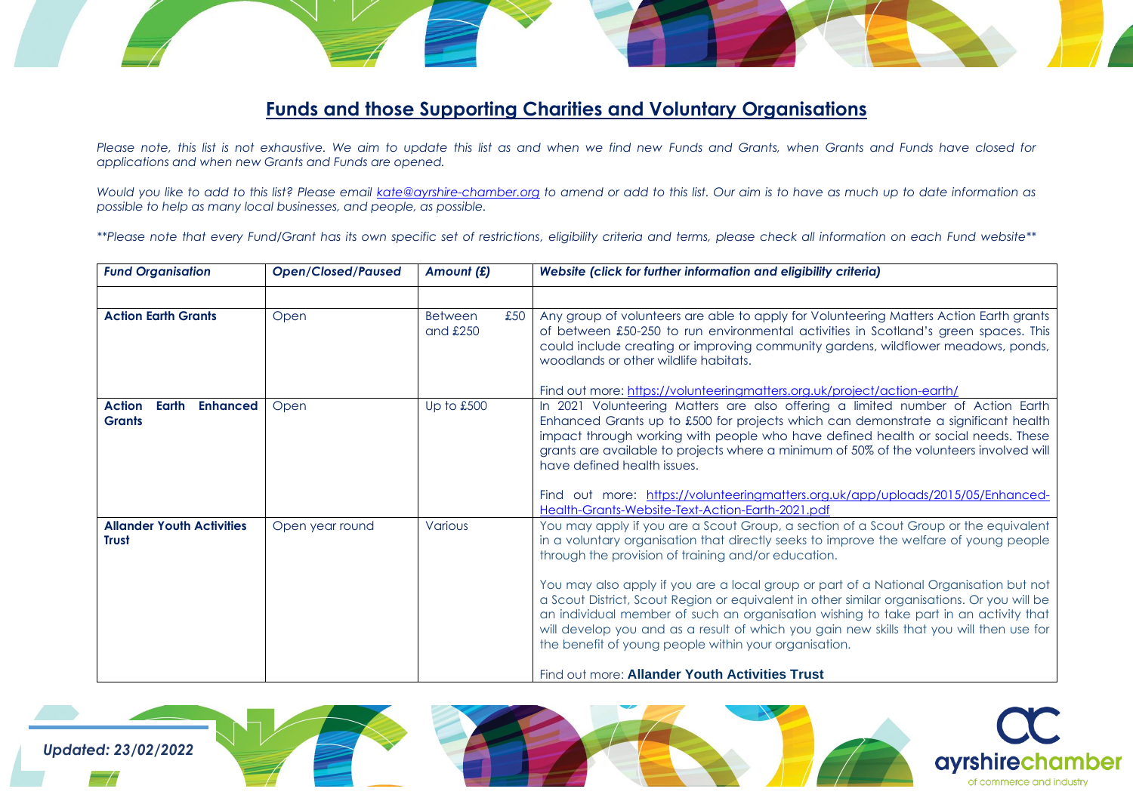## **Funds and those Supporting Charities and Voluntary Organisations**

*Please note, this list is not exhaustive. We aim to update this list as and when we find new Funds and Grants, when Grants and Funds have closed for applications and when new Grants and Funds are opened.*

*Would you like to add to this list? Please email [kate@ayrshire-chamber.org](mailto:kate@ayrshire-chamber.org) to amend or add to this list. Our aim is to have as much up to date information as possible to help as many local businesses, and people, as possible.*

*\*\*Please note that every Fund/Grant has its own specific set of restrictions, eligibility criteria and terms, please check all information on each Fund website\*\**

| <b>Fund Organisation</b>                                   | <b>Open/Closed/Paused</b> | Amount (£)                          | Website (click for further information and eligibility criteria)                                                                                                                                                                                                                                                                                                                                                                    |
|------------------------------------------------------------|---------------------------|-------------------------------------|-------------------------------------------------------------------------------------------------------------------------------------------------------------------------------------------------------------------------------------------------------------------------------------------------------------------------------------------------------------------------------------------------------------------------------------|
|                                                            |                           |                                     |                                                                                                                                                                                                                                                                                                                                                                                                                                     |
| <b>Action Earth Grants</b>                                 | Open                      | £50<br><b>Between</b><br>and $£250$ | Any group of volunteers are able to apply for Volunteering Matters Action Earth grants<br>of between £50-250 to run environmental activities in Scotland's green spaces. This<br>could include creating or improving community gardens, wildflower meadows, ponds,<br>woodlands or other wildlife habitats.                                                                                                                         |
|                                                            |                           |                                     | Find out more: https://volunteeringmatters.org.uk/project/action-earth/                                                                                                                                                                                                                                                                                                                                                             |
| <b>Action</b><br>Earth<br><b>Enhanced</b><br><b>Grants</b> | Open                      | Up to £500                          | In 2021 Volunteering Matters are also offering a limited number of Action Earth<br>Enhanced Grants up to £500 for projects which can demonstrate a significant health<br>impact through working with people who have defined health or social needs. These<br>grants are available to projects where a minimum of 50% of the volunteers involved will<br>have defined health issues.                                                |
|                                                            |                           |                                     | Find out more: https://volunteeringmatters.org.uk/app/uploads/2015/05/Enhanced-<br>Health-Grants-Website-Text-Action-Earth-2021.pdf                                                                                                                                                                                                                                                                                                 |
| <b>Allander Youth Activities</b><br><b>Trust</b>           | Open year round           | Various                             | You may apply if you are a Scout Group, a section of a Scout Group or the equivalent<br>in a voluntary organisation that directly seeks to improve the welfare of young people<br>through the provision of training and/or education.                                                                                                                                                                                               |
|                                                            |                           |                                     | You may also apply if you are a local group or part of a National Organisation but not<br>a Scout District, Scout Region or equivalent in other similar organisations. Or you will be<br>an individual member of such an organisation wishing to take part in an activity that<br>will develop you and as a result of which you gain new skills that you will then use for<br>the benefit of young people within your organisation. |
|                                                            |                           |                                     | Find out more: Allander Youth Activities Trust                                                                                                                                                                                                                                                                                                                                                                                      |

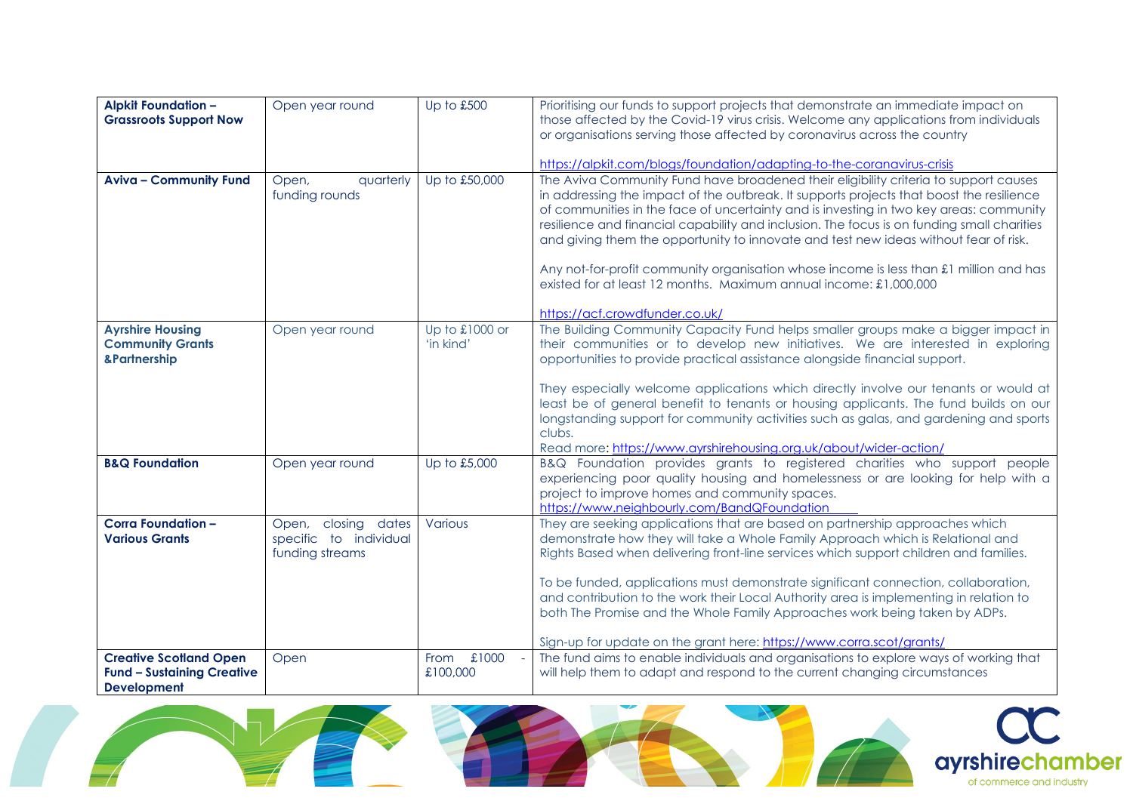| <b>Alpkit Foundation -</b>        | Open year round        | Up to £500     | Prioritising our funds to support projects that demonstrate an immediate impact on         |
|-----------------------------------|------------------------|----------------|--------------------------------------------------------------------------------------------|
| <b>Grassroots Support Now</b>     |                        |                | those affected by the Covid-19 virus crisis. Welcome any applications from individuals     |
|                                   |                        |                | or organisations serving those affected by coronavirus across the country                  |
|                                   |                        |                |                                                                                            |
|                                   |                        |                | https://alpkit.com/blogs/foundation/adapting-to-the-coranavirus-crisis                     |
|                                   |                        |                |                                                                                            |
| <b>Aviva - Community Fund</b>     | quarterly<br>Open,     | Up to £50,000  | The Aviva Community Fund have broadened their eligibility criteria to support causes       |
|                                   | funding rounds         |                | in addressing the impact of the outbreak. It supports projects that boost the resilience   |
|                                   |                        |                | of communities in the face of uncertainty and is investing in two key areas: community     |
|                                   |                        |                | resilience and financial capability and inclusion. The focus is on funding small charities |
|                                   |                        |                | and giving them the opportunity to innovate and test new ideas without fear of risk.       |
|                                   |                        |                |                                                                                            |
|                                   |                        |                | Any not-for-profit community organisation whose income is less than £1 million and has     |
|                                   |                        |                | existed for at least 12 months. Maximum annual income: £1,000,000                          |
|                                   |                        |                |                                                                                            |
|                                   |                        |                | https://acf.crowdfunder.co.uk/                                                             |
| <b>Ayrshire Housing</b>           | Open year round        | Up to £1000 or | The Building Community Capacity Fund helps smaller groups make a bigger impact in          |
| <b>Community Grants</b>           |                        | 'in kind'      | their communities or to develop new initiatives. We are interested in exploring            |
| &Partnership                      |                        |                | opportunities to provide practical assistance alongside financial support.                 |
|                                   |                        |                |                                                                                            |
|                                   |                        |                | They especially welcome applications which directly involve our tenants or would at        |
|                                   |                        |                | least be of general benefit to tenants or housing applicants. The fund builds on our       |
|                                   |                        |                | longstanding support for community activities such as galas, and gardening and sports      |
|                                   |                        |                | clubs.                                                                                     |
|                                   |                        |                | Read more: https://www.ayrshirehousing.org.uk/about/wider-action/                          |
| <b>B&amp;Q Foundation</b>         | Open year round        | Up to £5,000   | B&Q Foundation provides grants to registered charities who support people                  |
|                                   |                        |                | experiencing poor quality housing and homelessness or are looking for help with a          |
|                                   |                        |                | project to improve homes and community spaces.                                             |
|                                   |                        |                | https://www.neighbourly.com/BandQFoundation                                                |
| <b>Corra Foundation -</b>         | Open, closing dates    | Various        | They are seeking applications that are based on partnership approaches which               |
| <b>Various Grants</b>             | specific to individual |                | demonstrate how they will take a Whole Family Approach which is Relational and             |
|                                   | funding streams        |                | Rights Based when delivering front-line services which support children and families.      |
|                                   |                        |                |                                                                                            |
|                                   |                        |                | To be funded, applications must demonstrate significant connection, collaboration,         |
|                                   |                        |                | and contribution to the work their Local Authority area is implementing in relation to     |
|                                   |                        |                | both The Promise and the Whole Family Approaches work being taken by ADPs.                 |
|                                   |                        |                |                                                                                            |
|                                   |                        |                | Sign-up for update on the grant here: https://www.corra.scot/grants/                       |
| <b>Creative Scotland Open</b>     | Open                   | From £1000     | The fund aims to enable individuals and organisations to explore ways of working that      |
| <b>Fund - Sustaining Creative</b> |                        | £100,000       | will help them to adapt and respond to the current changing circumstances                  |
| <b>Development</b>                |                        |                |                                                                                            |

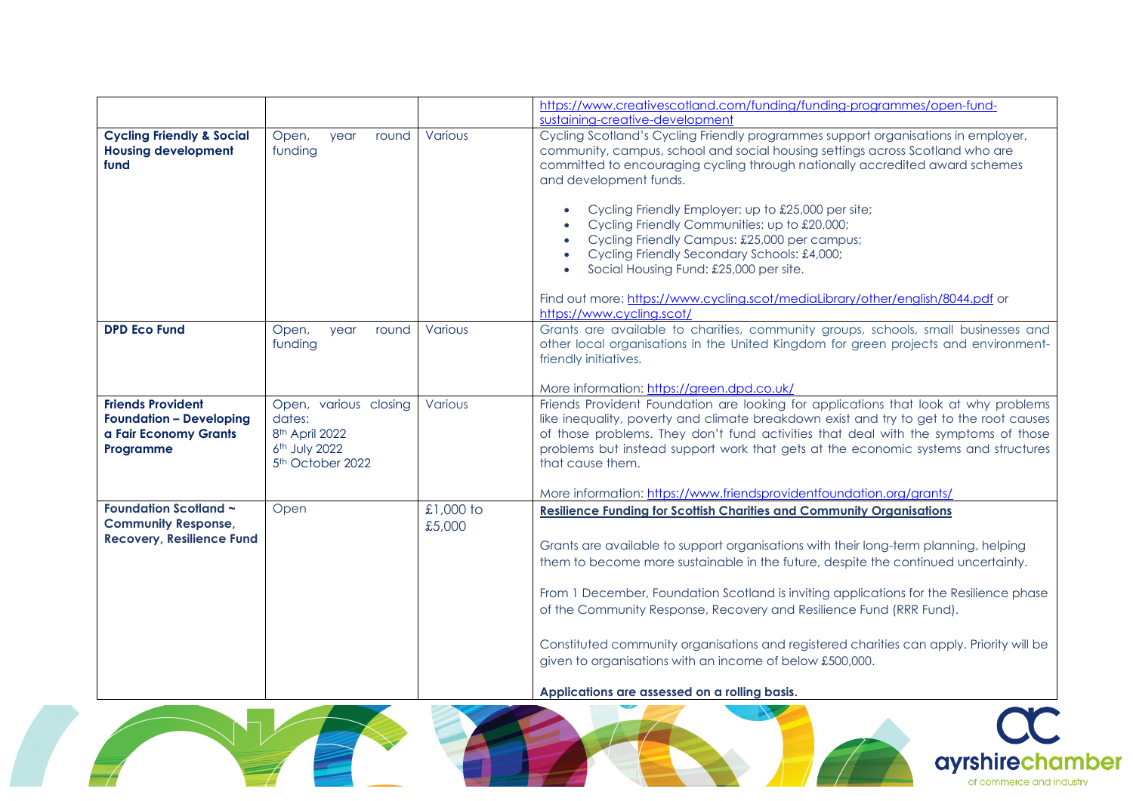|                                                                                                  |                                                                                                                |                     | https://www.creativescotland.com/funding/funding-programmes/open-fund-                                                                                                                                                                                                                                                                                                                                                                                                                                                                                                                                                                                  |
|--------------------------------------------------------------------------------------------------|----------------------------------------------------------------------------------------------------------------|---------------------|---------------------------------------------------------------------------------------------------------------------------------------------------------------------------------------------------------------------------------------------------------------------------------------------------------------------------------------------------------------------------------------------------------------------------------------------------------------------------------------------------------------------------------------------------------------------------------------------------------------------------------------------------------|
|                                                                                                  |                                                                                                                |                     | sustaining-creative-development                                                                                                                                                                                                                                                                                                                                                                                                                                                                                                                                                                                                                         |
| <b>Cycling Friendly &amp; Social</b><br><b>Housing development</b><br>fund                       | Open,<br>year<br>round<br>funding                                                                              | Various             | Cycling Scotland's Cycling Friendly programmes support organisations in employer,<br>community, campus, school and social housing settings across Scotland who are<br>committed to encouraging cycling through nationally accredited award schemes<br>and development funds.<br>Cycling Friendly Employer: up to £25,000 per site;<br>Cycling Friendly Communities: up to £20,000;<br>Cycling Friendly Campus: £25,000 per campus;<br>Cycling Friendly Secondary Schools: £4,000;<br>Social Housing Fund: £25,000 per site.<br>$\bullet$<br>Find out more: https://www.cycling.scot/mediaLibrary/other/english/8044.pdf or<br>https://www.cycling.scot/ |
| <b>DPD Eco Fund</b>                                                                              | Open,<br>round<br>year<br>funding                                                                              | Various             | Grants are available to charities, community groups, schools, small businesses and<br>other local organisations in the United Kingdom for green projects and environment-<br>friendly initiatives.<br>More information: https://green.dpd.co.uk/                                                                                                                                                                                                                                                                                                                                                                                                        |
| <b>Friends Provident</b><br><b>Foundation - Developing</b><br>a Fair Economy Grants<br>Programme | Open, various closing<br>dates:<br>8 <sup>th</sup> April 2022<br>6th July 2022<br>5 <sup>th</sup> October 2022 | Various             | Friends Provident Foundation are looking for applications that look at why problems<br>like inequality, poverty and climate breakdown exist and try to get to the root causes<br>of those problems. They don't fund activities that deal with the symptoms of those<br>problems but instead support work that gets at the economic systems and structures<br>that cause them.<br>More information: https://www.friendsprovidentfoundation.org/grants/                                                                                                                                                                                                   |
| <b>Foundation Scotland ~</b><br><b>Community Response,</b><br><b>Recovery, Resilience Fund</b>   | Open                                                                                                           | £1,000 to<br>£5,000 | <b>Resilience Funding for Scottish Charities and Community Organisations</b><br>Grants are available to support organisations with their long-term planning, helping<br>them to become more sustainable in the future, despite the continued uncertainty.<br>From 1 December, Foundation Scotland is inviting applications for the Resilience phase<br>of the Community Response, Recovery and Resilience Fund (RRR Fund).<br>Constituted community organisations and registered charities can apply. Priority will be<br>given to organisations with an income of below £500,000.<br>Applications are assessed on a rolling basis.                     |

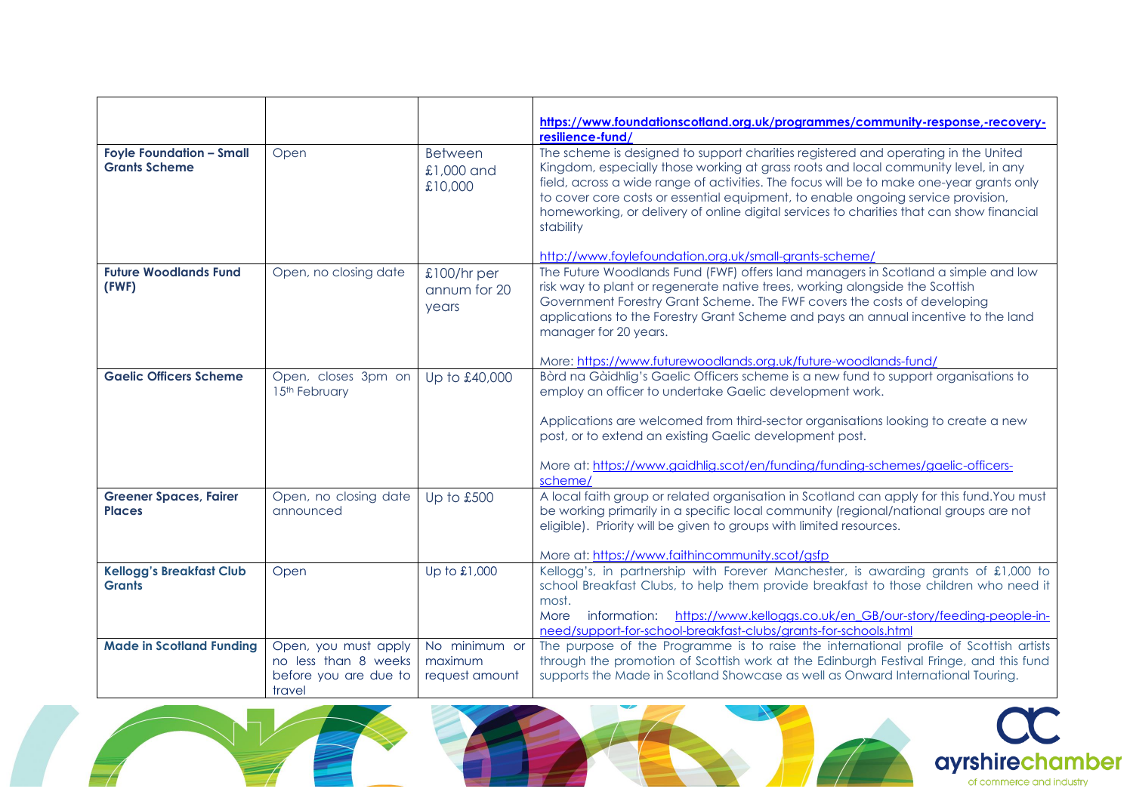|                                                         |                       |                                         | https://www.foundationscotland.org.uk/programmes/community-response,-recovery-                                                                                                                                                                                                                                                                                                                                                                                                                                              |
|---------------------------------------------------------|-----------------------|-----------------------------------------|-----------------------------------------------------------------------------------------------------------------------------------------------------------------------------------------------------------------------------------------------------------------------------------------------------------------------------------------------------------------------------------------------------------------------------------------------------------------------------------------------------------------------------|
|                                                         |                       |                                         | resilience-fund/                                                                                                                                                                                                                                                                                                                                                                                                                                                                                                            |
| <b>Foyle Foundation - Small</b><br><b>Grants Scheme</b> | Open                  | <b>Between</b><br>£1,000 and<br>£10,000 | The scheme is designed to support charities registered and operating in the United<br>Kingdom, especially those working at grass roots and local community level, in any<br>field, across a wide range of activities. The focus will be to make one-year grants only<br>to cover core costs or essential equipment, to enable ongoing service provision,<br>homeworking, or delivery of online digital services to charities that can show financial<br>stability<br>http://www.foylefoundation.org.uk/small-grants-scheme/ |
| <b>Future Woodlands Fund</b>                            | Open, no closing date | $£100/hr$ per                           | The Future Woodlands Fund (FWF) offers land managers in Scotland a simple and low                                                                                                                                                                                                                                                                                                                                                                                                                                           |
| (FWF)                                                   |                       | annum for 20<br>years                   | risk way to plant or regenerate native trees, working alongside the Scottish<br>Government Forestry Grant Scheme. The FWF covers the costs of developing<br>applications to the Forestry Grant Scheme and pays an annual incentive to the land<br>manager for 20 years.<br>More: https://www.futurewoodlands.org.uk/future-woodlands-fund/                                                                                                                                                                                  |
| <b>Gaelic Officers Scheme</b>                           | Open, closes 3pm on   | Up to £40,000                           | Bòrd na Gàidhlig's Gaelic Officers scheme is a new fund to support organisations to                                                                                                                                                                                                                                                                                                                                                                                                                                         |
|                                                         | 15th February         |                                         | employ an officer to undertake Gaelic development work.<br>Applications are welcomed from third-sector organisations looking to create a new<br>post, or to extend an existing Gaelic development post.<br>More at: https://www.gaidhlig.scot/en/funding/funding-schemes/gaelic-officers-<br>scheme/                                                                                                                                                                                                                        |
| <b>Greener Spaces, Fairer</b>                           | Open, no closing date | Up to £500                              | A local faith group or related organisation in Scotland can apply for this fund. You must                                                                                                                                                                                                                                                                                                                                                                                                                                   |
| <b>Places</b>                                           | announced             |                                         | be working primarily in a specific local community (regional/national groups are not<br>eligible). Priority will be given to groups with limited resources.<br>More at: https://www.faithincommunity.scot/asfp                                                                                                                                                                                                                                                                                                              |
| <b>Kellogg's Breakfast Club</b>                         | Open                  | Up to £1,000                            | Kellogg's, in partnership with Forever Manchester, is awarding grants of £1,000 to                                                                                                                                                                                                                                                                                                                                                                                                                                          |
| <b>Grants</b>                                           |                       |                                         | school Breakfast Clubs, to help them provide breakfast to those children who need it                                                                                                                                                                                                                                                                                                                                                                                                                                        |
|                                                         |                       |                                         | most.                                                                                                                                                                                                                                                                                                                                                                                                                                                                                                                       |
|                                                         |                       |                                         | https://www.kelloggs.co.uk/en GB/our-story/feeding-people-in-<br>More<br>information:<br>need/support-for-school-breakfast-clubs/grants-for-schools.html                                                                                                                                                                                                                                                                                                                                                                    |
| <b>Made in Scotland Funding</b>                         | Open, you must apply  | No minimum or                           | The purpose of the Programme is to raise the international profile of Scottish artists                                                                                                                                                                                                                                                                                                                                                                                                                                      |
|                                                         | no less than 8 weeks  | maximum                                 | through the promotion of Scottish work at the Edinburgh Festival Fringe, and this fund                                                                                                                                                                                                                                                                                                                                                                                                                                      |
|                                                         | before you are due to | request amount                          | supports the Made in Scotland Showcase as well as Onward International Touring.                                                                                                                                                                                                                                                                                                                                                                                                                                             |
|                                                         | travel                |                                         |                                                                                                                                                                                                                                                                                                                                                                                                                                                                                                                             |





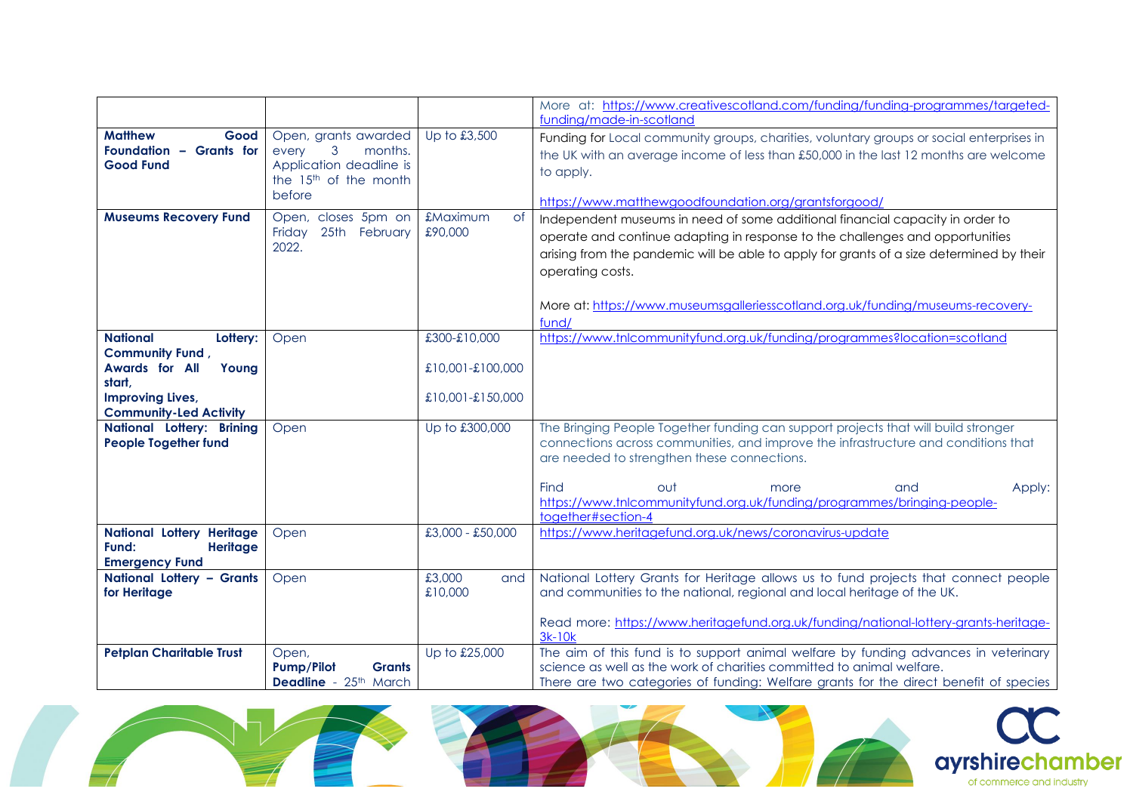|                                  |                                             |                       | More at: https://www.creativescotland.com/funding/funding-programmes/targeted-                   |
|----------------------------------|---------------------------------------------|-----------------------|--------------------------------------------------------------------------------------------------|
|                                  |                                             |                       | funding/made-in-scotland                                                                         |
| <b>Matthew</b><br>Good           | Open, grants awarded                        | Up to £3,500          | Funding for Local community groups, charities, voluntary groups or social enterprises in         |
| Foundation - Grants for          | 3<br>every<br>months.                       |                       | the UK with an average income of less than £50,000 in the last 12 months are welcome             |
| <b>Good Fund</b>                 | Application deadline is                     |                       | to apply.                                                                                        |
|                                  | the 15 <sup>th</sup> of the month           |                       |                                                                                                  |
|                                  | before                                      |                       | https://www.matthewgoodfoundation.org/grantsforgood/                                             |
| <b>Museums Recovery Fund</b>     | Open, closes 5pm on                         | £Maximum<br><b>of</b> | Independent museums in need of some additional financial capacity in order to                    |
|                                  | Friday 25th February                        | £90,000               | operate and continue adapting in response to the challenges and opportunities                    |
|                                  | 2022.                                       |                       | arising from the pandemic will be able to apply for grants of a size determined by their         |
|                                  |                                             |                       | operating costs.                                                                                 |
|                                  |                                             |                       |                                                                                                  |
|                                  |                                             |                       | More at: https://www.museumsgalleriesscotland.org.uk/funding/museums-recovery-                   |
|                                  |                                             |                       | fund/                                                                                            |
| <b>National</b><br>Lottery:      | Open                                        | £300-£10,000          | https://www.tnlcommunityfund.org.uk/funding/programmes?location=scotland                         |
| <b>Community Fund,</b>           |                                             |                       |                                                                                                  |
| Awards for All<br>Young          |                                             | £10,001-£100,000      |                                                                                                  |
| start,                           |                                             |                       |                                                                                                  |
| <b>Improving Lives,</b>          |                                             | £10,001-£150,000      |                                                                                                  |
| <b>Community-Led Activity</b>    |                                             |                       |                                                                                                  |
| National Lottery: Brining        | Open                                        | Up to £300,000        | The Bringing People Together funding can support projects that will build stronger               |
| <b>People Together fund</b>      |                                             |                       | connections across communities, and improve the infrastructure and conditions that               |
|                                  |                                             |                       | are needed to strengthen these connections.                                                      |
|                                  |                                             |                       | Find<br>out<br>Apply:<br>more<br>and                                                             |
|                                  |                                             |                       | https://www.tnlcommunityfund.org.uk/funding/programmes/bringing-people-                          |
|                                  |                                             |                       | together#section-4                                                                               |
| <b>National Lottery Heritage</b> | Open                                        | £3,000 - £50,000      | https://www.heritagefund.org.uk/news/coronavirus-update                                          |
| Fund:<br><b>Heritage</b>         |                                             |                       |                                                                                                  |
| <b>Emergency Fund</b>            |                                             |                       |                                                                                                  |
| National Lottery - Grants        | Open                                        | £3,000<br>and         | National Lottery Grants for Heritage allows us to fund projects that connect people              |
| for Heritage                     |                                             | £10,000               | and communities to the national, regional and local heritage of the UK.                          |
|                                  |                                             |                       |                                                                                                  |
|                                  |                                             |                       | Read more: https://www.heritagefund.org.uk/funding/national-lottery-grants-heritage-<br>$3k-10k$ |
| <b>Petplan Charitable Trust</b>  |                                             | Up to £25,000         | The aim of this fund is to support animal welfare by funding advances in veterinary              |
|                                  | Open,<br><b>Pump/Pilot</b><br><b>Grants</b> |                       | science as well as the work of charities committed to animal welfare.                            |
|                                  | <b>Deadline</b> - 25 <sup>th</sup> March    |                       | There are two categories of funding: Welfare grants for the direct benefit of species            |





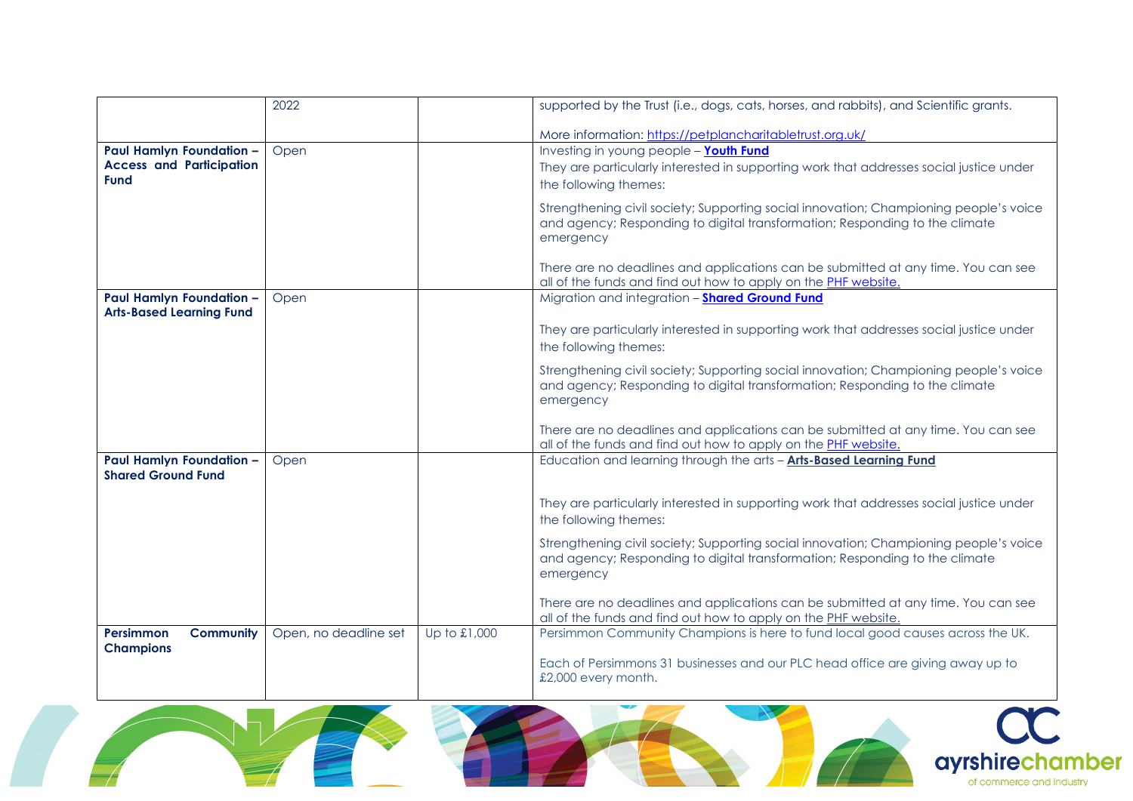|                                                              | 2022                  |              | supported by the Trust (i.e., dogs, cats, horses, and rabbits), and Scientific grants.                                                                                            |
|--------------------------------------------------------------|-----------------------|--------------|-----------------------------------------------------------------------------------------------------------------------------------------------------------------------------------|
|                                                              |                       |              | More information: https://petplancharitabletrust.org.uk/                                                                                                                          |
| Paul Hamlyn Foundation -                                     | Open                  |              | Investing in young people - Youth Fund                                                                                                                                            |
| <b>Access and Participation</b>                              |                       |              | They are particularly interested in supporting work that addresses social justice under                                                                                           |
| <b>Fund</b>                                                  |                       |              | the following themes:                                                                                                                                                             |
|                                                              |                       |              | Strengthening civil society; Supporting social innovation; Championing people's voice<br>and agency; Responding to digital transformation; Responding to the climate<br>emergency |
|                                                              |                       |              | There are no deadlines and applications can be submitted at any time. You can see<br>all of the funds and find out how to apply on the PHF website.                               |
| Paul Hamlyn Foundation -<br><b>Arts-Based Learning Fund</b>  | Open                  |              | Migration and integration - <b>Shared Ground Fund</b>                                                                                                                             |
|                                                              |                       |              | They are particularly interested in supporting work that addresses social justice under<br>the following themes:                                                                  |
|                                                              |                       |              | Strengthening civil society; Supporting social innovation; Championing people's voice<br>and agency; Responding to digital transformation; Responding to the climate<br>emergency |
|                                                              |                       |              | There are no deadlines and applications can be submitted at any time. You can see<br>all of the funds and find out how to apply on the PHF website.                               |
| <b>Paul Hamlyn Foundation -</b><br><b>Shared Ground Fund</b> | Open                  |              | Education and learning through the arts - <b>Arts-Based Learning Fund</b>                                                                                                         |
|                                                              |                       |              | They are particularly interested in supporting work that addresses social justice under<br>the following themes:                                                                  |
|                                                              |                       |              | Strengthening civil society; Supporting social innovation; Championing people's voice<br>and agency; Responding to digital transformation; Responding to the climate<br>emergency |
|                                                              |                       |              | There are no deadlines and applications can be submitted at any time. You can see<br>all of the funds and find out how to apply on the PHF website.                               |
| <b>Community</b><br><b>Persimmon</b>                         | Open, no deadline set | Up to £1,000 | Persimmon Community Champions is here to fund local good causes across the UK.                                                                                                    |
| <b>Champions</b>                                             |                       |              | Each of Persimmons 31 businesses and our PLC head office are giving away up to<br>£2,000 every month.                                                                             |

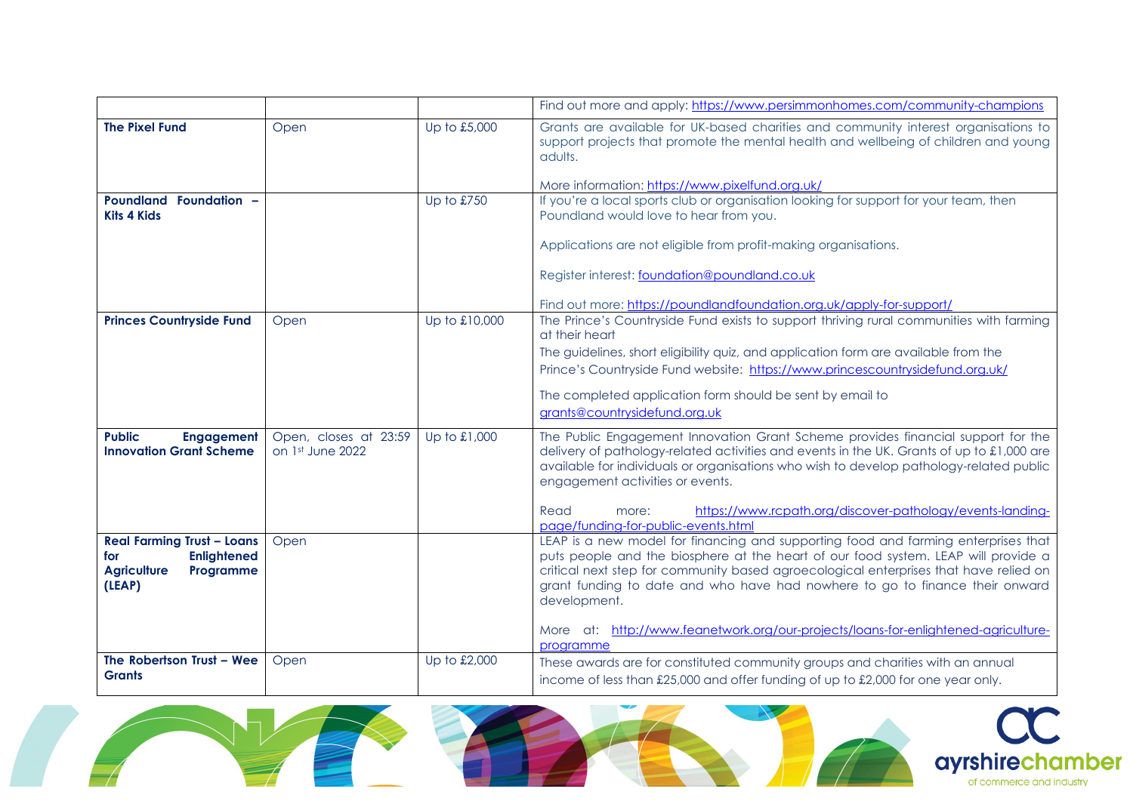|                                                                                                             |                                           |               | Find out more and apply: https://www.persimmonhomes.com/community-champions                                                                                                                                                                                                                                                                                                                                                                                          |
|-------------------------------------------------------------------------------------------------------------|-------------------------------------------|---------------|----------------------------------------------------------------------------------------------------------------------------------------------------------------------------------------------------------------------------------------------------------------------------------------------------------------------------------------------------------------------------------------------------------------------------------------------------------------------|
| <b>The Pixel Fund</b>                                                                                       | Open                                      | Up to £5,000  | Grants are available for UK-based charities and community interest organisations to<br>support projects that promote the mental health and wellbeing of children and young<br>adults.<br>More information: https://www.pixelfund.org.uk/                                                                                                                                                                                                                             |
| Poundland Foundation -<br><b>Kits 4 Kids</b>                                                                |                                           | Up to £750    | If you're a local sports club or organisation looking for support for your team, then<br>Poundland would love to hear from you.<br>Applications are not eligible from profit-making organisations.<br>Register interest: foundation@poundland.co.uk<br>Find out more: https://poundlandfoundation.org.uk/apply-for-support/                                                                                                                                          |
| <b>Princes Countryside Fund</b>                                                                             | Open                                      | Up to £10,000 | The Prince's Countryside Fund exists to support thriving rural communities with farming<br>at their heart<br>The guidelines, short eligibility quiz, and application form are available from the<br>Prince's Countryside Fund website: https://www.princescountrysidefund.org.uk/<br>The completed application form should be sent by email to<br>grants@countrysidefund.org.uk                                                                                      |
| <b>Public</b><br><b>Engagement</b><br><b>Innovation Grant Scheme</b>                                        | Open, closes at 23:59<br>on 1st June 2022 | Up to £1,000  | The Public Engagement Innovation Grant Scheme provides financial support for the<br>delivery of pathology-related activities and events in the UK. Grants of up to $\pounds$ 1,000 are<br>available for individuals or organisations who wish to develop pathology-related public<br>engagement activities or events.<br>https://www.rcpath.org/discover-pathology/events-landing-<br>Read<br>more:<br>page/funding-for-public-events.html                           |
| <b>Real Farming Trust - Loans</b><br><b>Enlightened</b><br>for<br><b>Agriculture</b><br>Programme<br>(LEAP) | Open                                      |               | LEAP is a new model for financing and supporting food and farming enterprises that<br>puts people and the biosphere at the heart of our food system. LEAP will provide a<br>critical next step for community based agroecological enterprises that have relied on<br>grant funding to date and who have had nowhere to go to finance their onward<br>development.<br>More at: http://www.feanetwork.org/our-projects/loans-for-enlightened-agriculture-<br>programme |
| The Robertson Trust - Wee<br><b>Grants</b>                                                                  | Open                                      | Up to £2,000  | These awards are for constituted community groups and charities with an annual<br>income of less than £25,000 and offer funding of up to £2,000 for one year only.                                                                                                                                                                                                                                                                                                   |

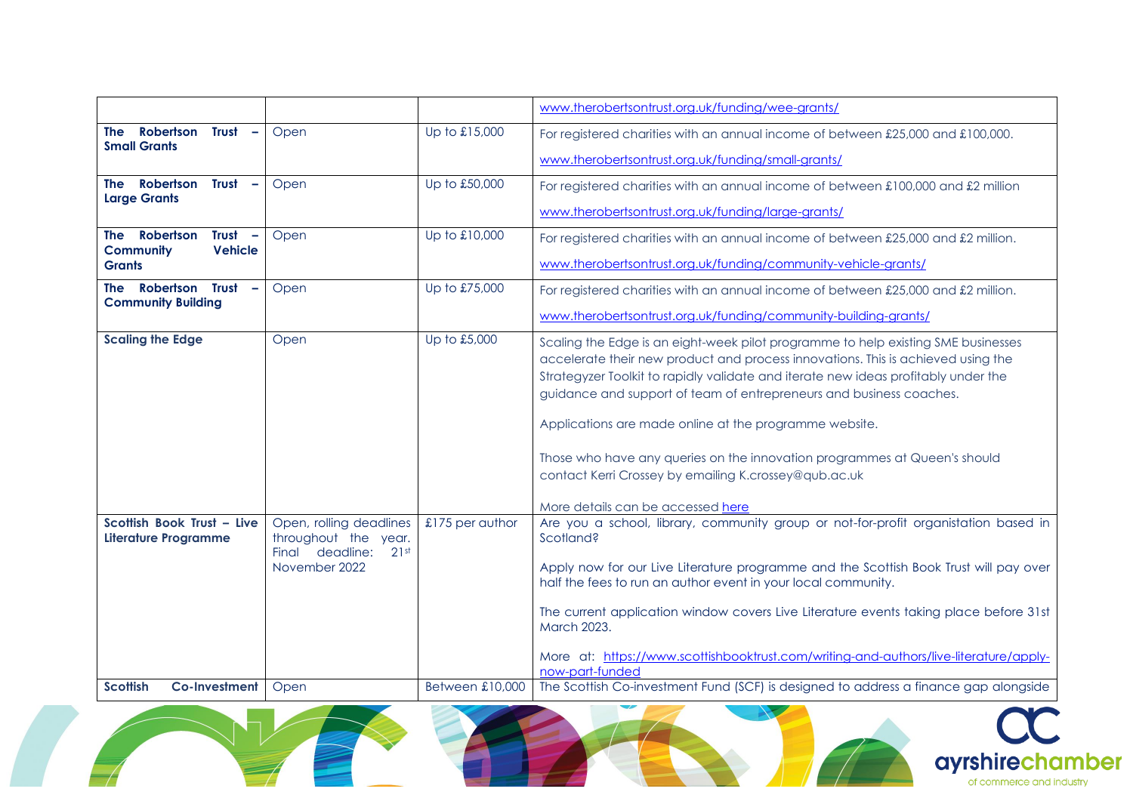|                                                                                                    |                                                                                             |                        | www.therobertsontrust.org.uk/funding/wee-grants/                                                                                                                                                                                                                                                                                                                                                                                                                                                                                                                        |
|----------------------------------------------------------------------------------------------------|---------------------------------------------------------------------------------------------|------------------------|-------------------------------------------------------------------------------------------------------------------------------------------------------------------------------------------------------------------------------------------------------------------------------------------------------------------------------------------------------------------------------------------------------------------------------------------------------------------------------------------------------------------------------------------------------------------------|
| Robertson<br>Trust<br>The<br><b>Small Grants</b>                                                   | Open                                                                                        | Up to £15,000          | For registered charities with an annual income of between £25,000 and £100,000.                                                                                                                                                                                                                                                                                                                                                                                                                                                                                         |
|                                                                                                    |                                                                                             |                        | www.therobertsontrust.org.uk/funding/small-grants/                                                                                                                                                                                                                                                                                                                                                                                                                                                                                                                      |
| <b>Trust</b><br>Robertson<br>The<br>$\overline{\phantom{a}}$<br><b>Large Grants</b>                | Open                                                                                        | Up to £50,000          | For registered charities with an annual income of between £100,000 and £2 million                                                                                                                                                                                                                                                                                                                                                                                                                                                                                       |
|                                                                                                    |                                                                                             |                        | www.therobertsontrust.org.uk/funding/large-grants/                                                                                                                                                                                                                                                                                                                                                                                                                                                                                                                      |
| Robertson<br><b>Trust</b><br>The<br>$\overline{\phantom{a}}$<br><b>Vehicle</b><br><b>Community</b> | Open                                                                                        | Up to £10,000          | For registered charities with an annual income of between £25,000 and £2 million.                                                                                                                                                                                                                                                                                                                                                                                                                                                                                       |
| <b>Grants</b>                                                                                      |                                                                                             |                        | www.therobertsontrust.org.uk/funding/community-vehicle-grants/                                                                                                                                                                                                                                                                                                                                                                                                                                                                                                          |
| The Robertson Trust<br>$\overline{\phantom{a}}$<br><b>Community Building</b>                       | Open                                                                                        | Up to £75,000          | For registered charities with an annual income of between £25,000 and £2 million.                                                                                                                                                                                                                                                                                                                                                                                                                                                                                       |
|                                                                                                    |                                                                                             |                        | www.therobertsontrust.org.uk/funding/community-building-grants/                                                                                                                                                                                                                                                                                                                                                                                                                                                                                                         |
| <b>Scaling the Edge</b>                                                                            | Open                                                                                        | Up to £5,000           | Scaling the Edge is an eight-week pilot programme to help existing SME businesses<br>accelerate their new product and process innovations. This is achieved using the<br>Strategyzer Toolkit to rapidly validate and iterate new ideas profitably under the<br>guidance and support of team of entrepreneurs and business coaches.<br>Applications are made online at the programme website.<br>Those who have any queries on the innovation programmes at Queen's should<br>contact Kerri Crossey by emailing K.crossey@qub.ac.uk<br>More details can be accessed here |
| Scottish Book Trust - Live<br><b>Literature Programme</b>                                          | Open, rolling deadlines<br>throughout the year.<br>Final deadline:<br>21st<br>November 2022 | £175 per author        | Are you a school, library, community group or not-for-profit organistation based in<br>Scotland?<br>Apply now for our Live Literature programme and the Scottish Book Trust will pay over<br>half the fees to run an author event in your local community.<br>The current application window covers Live Literature events taking place before 31st<br>March 2023.<br>More at: https://www.scottishbooktrust.com/writing-and-authors/live-literature/apply-<br>now-part-funded                                                                                          |
| <b>Scottish</b><br>Co-Investment                                                                   | Open                                                                                        | <b>Between £10,000</b> | The Scottish Co-investment Fund (SCF) is designed to address a finance gap alongside                                                                                                                                                                                                                                                                                                                                                                                                                                                                                    |

NV 1

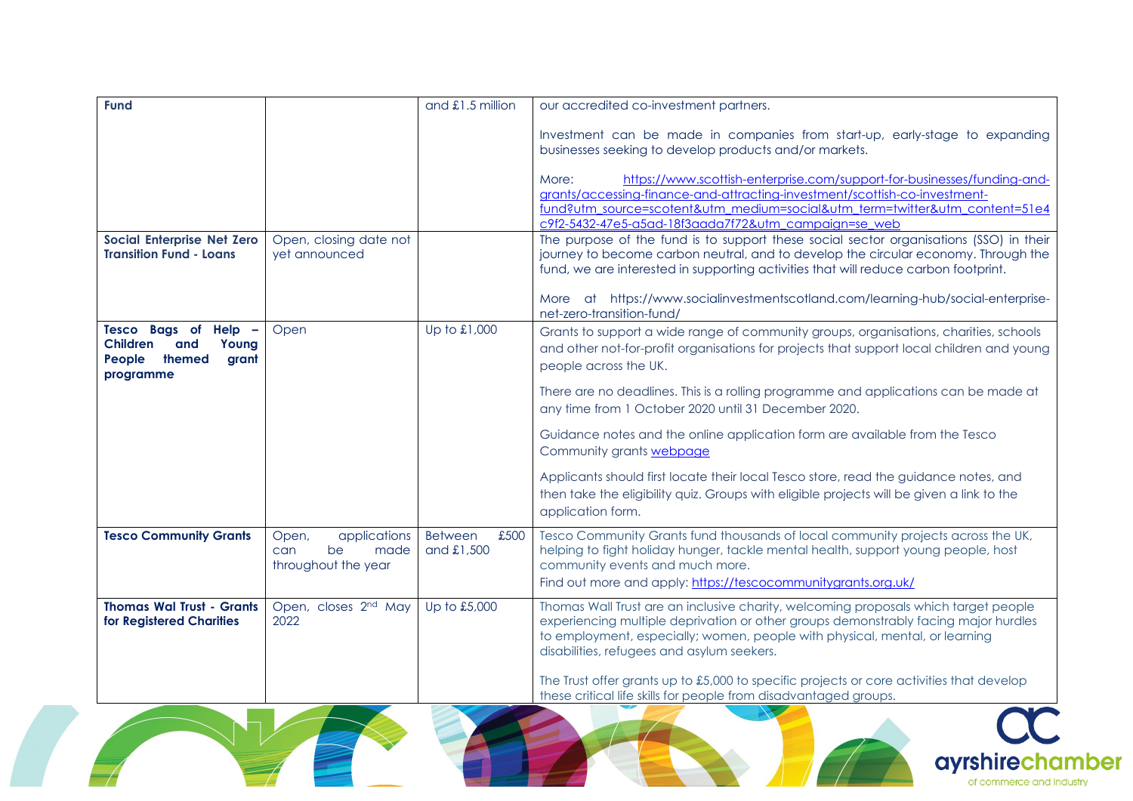| <b>Fund</b>                                                                                       |                                                                   | and $£1.5$ million                     | our accredited co-investment partners.                                                                                                                                                                                                                                                                  |
|---------------------------------------------------------------------------------------------------|-------------------------------------------------------------------|----------------------------------------|---------------------------------------------------------------------------------------------------------------------------------------------------------------------------------------------------------------------------------------------------------------------------------------------------------|
|                                                                                                   |                                                                   |                                        | Investment can be made in companies from start-up, early-stage to expanding<br>businesses seeking to develop products and/or markets.                                                                                                                                                                   |
|                                                                                                   |                                                                   |                                        | https://www.scottish-enterprise.com/support-for-businesses/funding-and-<br>More:<br>grants/accessing-finance-and-attracting-investment/scottish-co-investment-<br>fund?utm_source=scotent&utm_medium=social&utm_term=twitter&utm_content=51e4<br>c9f2-5432-47e5-a5ad-18f3aada7f72&utm_campaign=se_web   |
| Social Enterprise Net Zero<br><b>Transition Fund - Loans</b>                                      | Open, closing date not<br>yet announced                           |                                        | The purpose of the fund is to support these social sector organisations (SSO) in their<br>journey to become carbon neutral, and to develop the circular economy. Through the<br>fund, we are interested in supporting activities that will reduce carbon footprint.                                     |
|                                                                                                   |                                                                   |                                        | More at https://www.socialinvestmentscotland.com/learning-hub/social-enterprise-<br>net-zero-transition-fund/                                                                                                                                                                                           |
| Tesco Bags of Help -<br><b>Children</b><br>and<br>Young<br>People<br>themed<br>grant<br>programme | Open                                                              | Up to £1,000                           | Grants to support a wide range of community groups, organisations, charities, schools<br>and other not-for-profit organisations for projects that support local children and young<br>people across the UK.                                                                                             |
|                                                                                                   |                                                                   |                                        | There are no deadlines. This is a rolling programme and applications can be made at<br>any time from 1 October 2020 until 31 December 2020.                                                                                                                                                             |
|                                                                                                   |                                                                   |                                        | Guidance notes and the online application form are available from the Tesco<br>Community grants webpage                                                                                                                                                                                                 |
|                                                                                                   |                                                                   |                                        | Applicants should first locate their local Tesco store, read the guidance notes, and<br>then take the eligibility quiz. Groups with eligible projects will be given a link to the<br>application form.                                                                                                  |
| <b>Tesco Community Grants</b>                                                                     | applications<br>Open,<br>be<br>made<br>can<br>throughout the year | £500<br><b>Between</b><br>and $£1,500$ | Tesco Community Grants fund thousands of local community projects across the UK,<br>helping to fight holiday hunger, tackle mental health, support young people, host<br>community events and much more.<br>Find out more and apply: https://tescocommunitygrants.org.uk/                               |
| <b>Thomas Wal Trust - Grants</b><br>for Registered Charities                                      | Open, closes 2 <sup>nd</sup> May<br>2022                          | Up to £5,000                           | Thomas Wall Trust are an inclusive charity, welcoming proposals which target people<br>experiencing multiple deprivation or other groups demonstrably facing major hurdles<br>to employment, especially; women, people with physical, mental, or learning<br>disabilities, refugees and asylum seekers. |
|                                                                                                   |                                                                   |                                        | The Trust offer grants up to $£5,000$ to specific projects or core activities that develop<br>these critical life skills for people from disadvantaged groups.                                                                                                                                          |



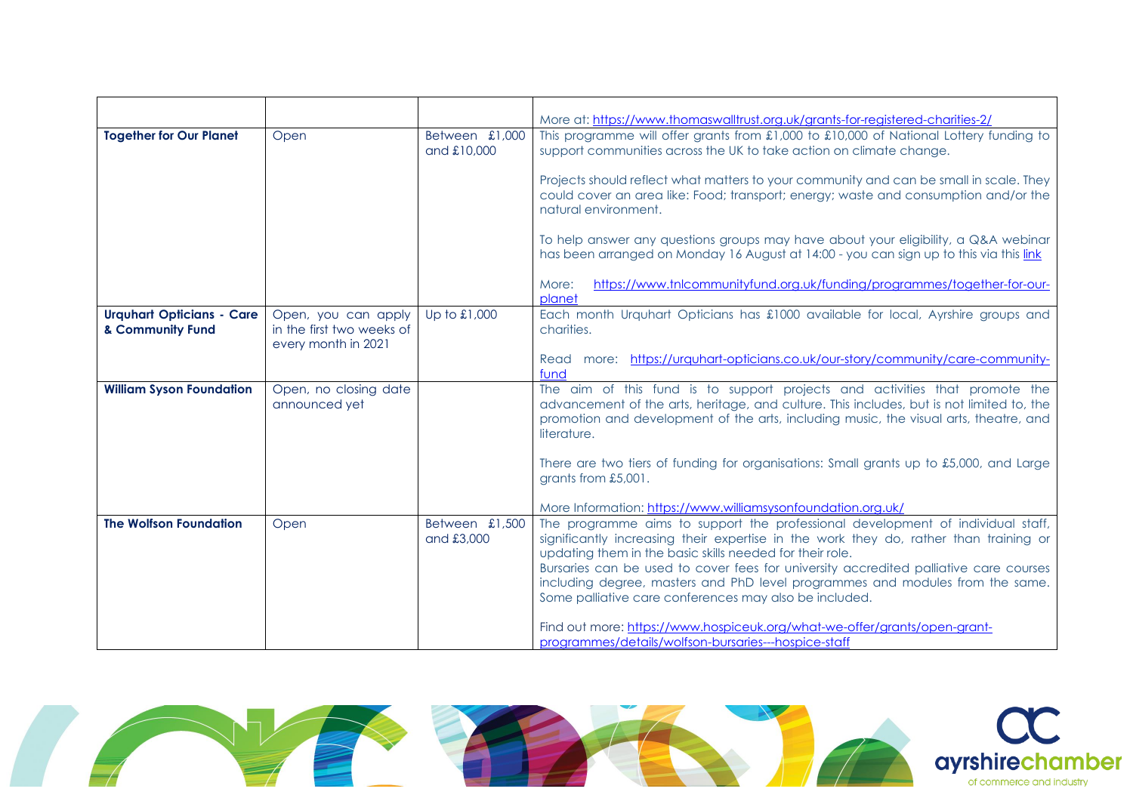|                                                      |                                                                         |                               | More at: https://www.thomaswalltrust.org.uk/grants-for-registered-charities-2/                                                                                                                                                                                                                                                                                                                                                                                           |
|------------------------------------------------------|-------------------------------------------------------------------------|-------------------------------|--------------------------------------------------------------------------------------------------------------------------------------------------------------------------------------------------------------------------------------------------------------------------------------------------------------------------------------------------------------------------------------------------------------------------------------------------------------------------|
| <b>Together for Our Planet</b>                       | Open                                                                    | Between £1,000<br>and £10,000 | This programme will offer grants from £1,000 to £10,000 of National Lottery funding to<br>support communities across the UK to take action on climate change.                                                                                                                                                                                                                                                                                                            |
|                                                      |                                                                         |                               | Projects should reflect what matters to your community and can be small in scale. They<br>could cover an area like: Food; transport; energy; waste and consumption and/or the<br>natural environment.                                                                                                                                                                                                                                                                    |
|                                                      |                                                                         |                               | To help answer any questions groups may have about your eligibility, a Q&A webinar<br>has been arranged on Monday 16 August at 14:00 - you can sign up to this via this link                                                                                                                                                                                                                                                                                             |
|                                                      |                                                                         |                               | https://www.tnlcommunityfund.org.uk/funding/programmes/together-for-our-<br>More:<br>planet                                                                                                                                                                                                                                                                                                                                                                              |
| <b>Urquhart Opticians - Care</b><br>& Community Fund | Open, you can apply<br>in the first two weeks of<br>every month in 2021 | Up to £1,000                  | Each month Urquhart Opticians has £1000 available for local, Ayrshire groups and<br>charities.                                                                                                                                                                                                                                                                                                                                                                           |
|                                                      |                                                                         |                               | more: https://urquhart-opticians.co.uk/our-story/community/care-community-<br>Read<br>fund                                                                                                                                                                                                                                                                                                                                                                               |
| <b>William Syson Foundation</b>                      | Open, no closing date<br>announced yet                                  |                               | The aim of this fund is to support projects and activities that promote the<br>advancement of the arts, heritage, and culture. This includes, but is not limited to, the<br>promotion and development of the arts, including music, the visual arts, theatre, and<br>literature.                                                                                                                                                                                         |
|                                                      |                                                                         |                               | There are two tiers of funding for organisations: Small grants up to £5,000, and Large<br>grants from £5,001.                                                                                                                                                                                                                                                                                                                                                            |
|                                                      |                                                                         |                               | More Information: https://www.williamsysonfoundation.org.uk/                                                                                                                                                                                                                                                                                                                                                                                                             |
| <b>The Wolfson Foundation</b>                        | Open                                                                    | Between £1,500<br>and £3,000  | The programme aims to support the professional development of individual staff,<br>significantly increasing their expertise in the work they do, rather than training or<br>updating them in the basic skills needed for their role.<br>Bursaries can be used to cover fees for university accredited palliative care courses<br>including degree, masters and PhD level programmes and modules from the same.<br>Some palliative care conferences may also be included. |
|                                                      |                                                                         |                               | Find out more: https://www.hospiceuk.org/what-we-offer/grants/open-grant-<br>programmes/details/wolfson-bursaries---hospice-staff                                                                                                                                                                                                                                                                                                                                        |

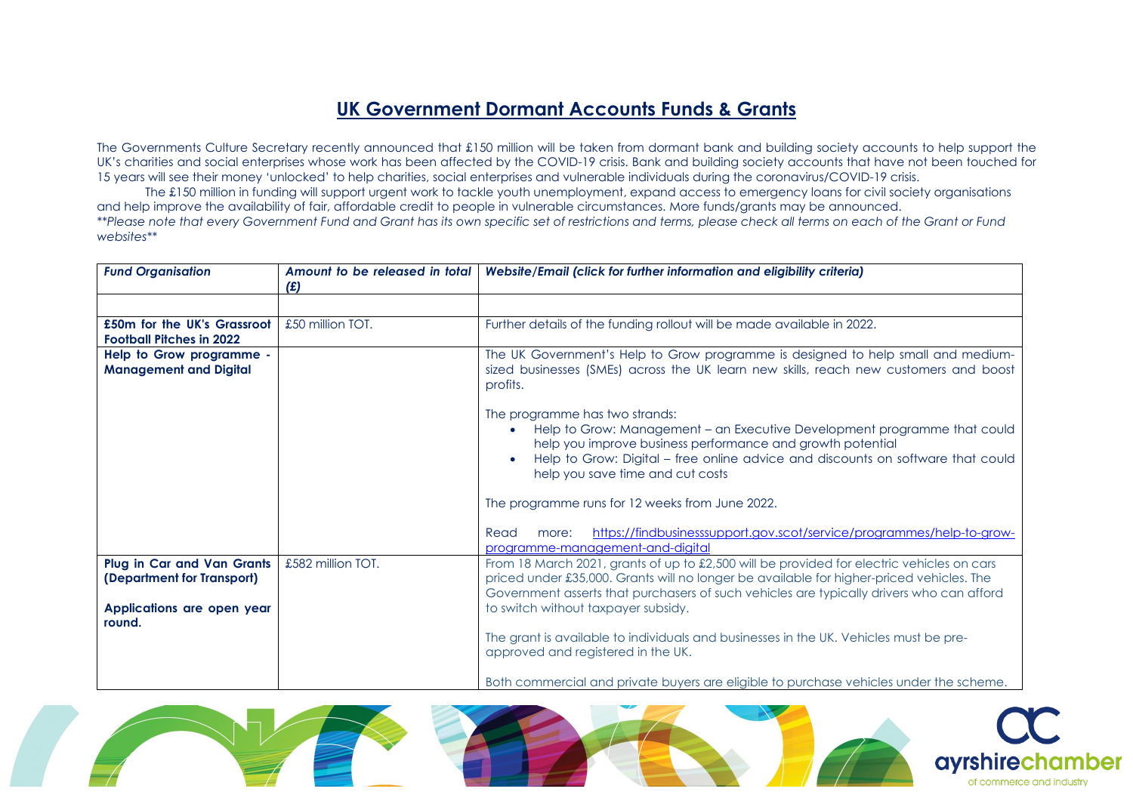## **UK Government Dormant Accounts Funds & Grants**

The Governments Culture Secretary recently announced that £150 million will be taken from dormant bank and building society accounts to help support the UK's charities and social enterprises whose work has been affected by the COVID-19 crisis. Bank and building society accounts that have not been touched for 15 years will see their money 'unlocked' to help charities, social enterprises and vulnerable individuals during the coronavirus/COVID-19 crisis.

The £150 million in funding will support urgent work to tackle youth unemployment, expand access to emergency loans for civil society organisations and help improve the availability of fair, affordable credit to people in vulnerable circumstances. More funds/grants may be announced. *\*\*Please note that every Government Fund and Grant has its own specific set of restrictions and terms, please check all terms on each of the Grant or Fund websites\*\**

| <b>Fund Organisation</b>                                        | Amount to be released in total<br>(E) | Website/Email (click for further information and eligibility criteria)                                                                                                                                                                                                                                                   |
|-----------------------------------------------------------------|---------------------------------------|--------------------------------------------------------------------------------------------------------------------------------------------------------------------------------------------------------------------------------------------------------------------------------------------------------------------------|
| £50m for the UK's Grassroot                                     | £50 million TOT.                      | Further details of the funding rollout will be made available in 2022.                                                                                                                                                                                                                                                   |
| <b>Football Pitches in 2022</b>                                 |                                       |                                                                                                                                                                                                                                                                                                                          |
| Help to Grow programme -<br><b>Management and Digital</b>       |                                       | The UK Government's Help to Grow programme is designed to help small and medium-<br>sized businesses (SMEs) across the UK learn new skills, reach new customers and boost<br>profits.                                                                                                                                    |
|                                                                 |                                       | The programme has two strands:<br>Help to Grow: Management - an Executive Development programme that could<br>help you improve business performance and growth potential<br>Help to Grow: Digital - free online advice and discounts on software that could<br>help you save time and cut costs                          |
|                                                                 |                                       | The programme runs for 12 weeks from June 2022.<br>https://findbusinesssupport.gov.scot/service/programmes/help-to-grow-<br>Read<br>more:                                                                                                                                                                                |
|                                                                 |                                       | programme-management-and-digital                                                                                                                                                                                                                                                                                         |
| <b>Plug in Car and Van Grants</b><br>(Department for Transport) | £582 million TOT.                     | From 18 March 2021, grants of up to £2,500 will be provided for electric vehicles on cars<br>priced under £35,000. Grants will no longer be available for higher-priced vehicles. The<br>Government asserts that purchasers of such vehicles are typically drivers who can afford<br>to switch without taxpayer subsidy. |
| Applications are open year<br>round.                            |                                       |                                                                                                                                                                                                                                                                                                                          |
|                                                                 |                                       | The grant is available to individuals and businesses in the UK. Vehicles must be pre-<br>approved and registered in the UK.                                                                                                                                                                                              |
|                                                                 |                                       | Both commercial and private buyers are eligible to purchase vehicles under the scheme.                                                                                                                                                                                                                                   |

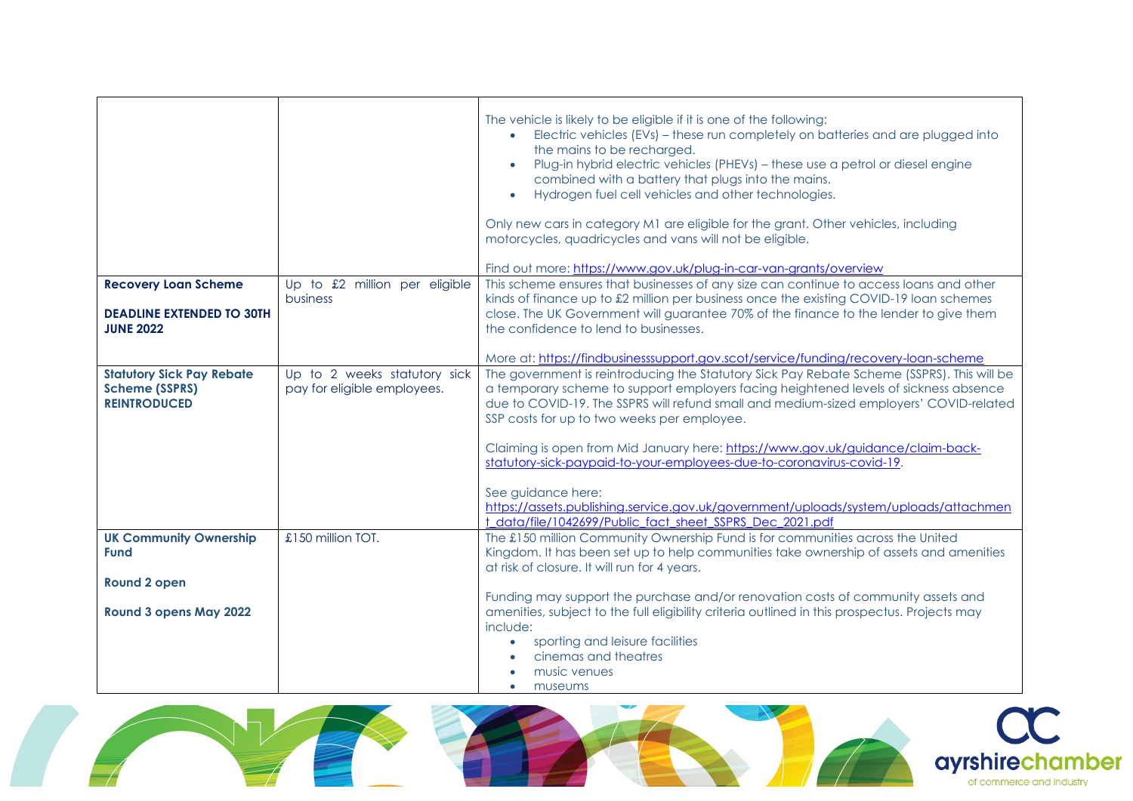|                                                                                  |                                                             | The vehicle is likely to be eligible if it is one of the following:<br>• Electric vehicles (EVs) – these run completely on batteries and are plugged into<br>the mains to be recharged.<br>Plug-in hybrid electric vehicles (PHEVs) - these use a petrol or diesel engine<br>combined with a battery that plugs into the mains.<br>Hydrogen fuel cell vehicles and other technologies.<br>$\bullet$<br>Only new cars in category M1 are eligible for the grant. Other vehicles, including<br>motorcycles, quadricycles and vans will not be eligible.<br>Find out more: https://www.gov.uk/plug-in-car-van-grants/overview |
|----------------------------------------------------------------------------------|-------------------------------------------------------------|----------------------------------------------------------------------------------------------------------------------------------------------------------------------------------------------------------------------------------------------------------------------------------------------------------------------------------------------------------------------------------------------------------------------------------------------------------------------------------------------------------------------------------------------------------------------------------------------------------------------------|
| <b>Recovery Loan Scheme</b>                                                      | Up to £2 million per eligible<br>business                   | This scheme ensures that businesses of any size can continue to access loans and other<br>kinds of finance up to £2 million per business once the existing COVID-19 loan schemes                                                                                                                                                                                                                                                                                                                                                                                                                                           |
| <b>DEADLINE EXTENDED TO 30TH</b><br><b>JUNE 2022</b>                             |                                                             | close. The UK Government will guarantee 70% of the finance to the lender to give them<br>the confidence to lend to businesses.                                                                                                                                                                                                                                                                                                                                                                                                                                                                                             |
|                                                                                  |                                                             | More at: https://findbusinesssupport.gov.scot/service/funding/recovery-loan-scheme                                                                                                                                                                                                                                                                                                                                                                                                                                                                                                                                         |
| <b>Statutory Sick Pay Rebate</b><br><b>Scheme (SSPRS)</b><br><b>REINTRODUCED</b> | Up to 2 weeks statutory sick<br>pay for eligible employees. | The government is reintroducing the Statutory Sick Pay Rebate Scheme (SSPRS). This will be<br>a temporary scheme to support employers facing heightened levels of sickness absence<br>due to COVID-19. The SSPRS will refund small and medium-sized employers' COVID-related<br>SSP costs for up to two weeks per employee.                                                                                                                                                                                                                                                                                                |
|                                                                                  |                                                             | Claiming is open from Mid January here: https://www.gov.uk/guidance/claim-back-<br>statutory-sick-paypaid-to-your-employees-due-to-coronavirus-covid-19.                                                                                                                                                                                                                                                                                                                                                                                                                                                                   |
|                                                                                  |                                                             | See guidance here:                                                                                                                                                                                                                                                                                                                                                                                                                                                                                                                                                                                                         |
|                                                                                  |                                                             | https://assets.publishing.service.gov.uk/government/uploads/system/uploads/attachmen<br>t data/file/1042699/Public fact sheet SSPRS Dec 2021.pdf                                                                                                                                                                                                                                                                                                                                                                                                                                                                           |
| <b>UK Community Ownership</b><br><b>Fund</b>                                     | £150 million TOT.                                           | The £150 million Community Ownership Fund is for communities across the United<br>Kingdom. It has been set up to help communities take ownership of assets and amenities                                                                                                                                                                                                                                                                                                                                                                                                                                                   |
| <b>Round 2 open</b>                                                              |                                                             | at risk of closure. It will run for 4 years.                                                                                                                                                                                                                                                                                                                                                                                                                                                                                                                                                                               |
| Round 3 opens May 2022                                                           |                                                             | Funding may support the purchase and/or renovation costs of community assets and<br>amenities, subject to the full eligibility criteria outlined in this prospectus. Projects may<br>include:                                                                                                                                                                                                                                                                                                                                                                                                                              |
|                                                                                  |                                                             | sporting and leisure facilities<br>$\bullet$<br>cinemas and theatres<br>music venues<br>museums                                                                                                                                                                                                                                                                                                                                                                                                                                                                                                                            |

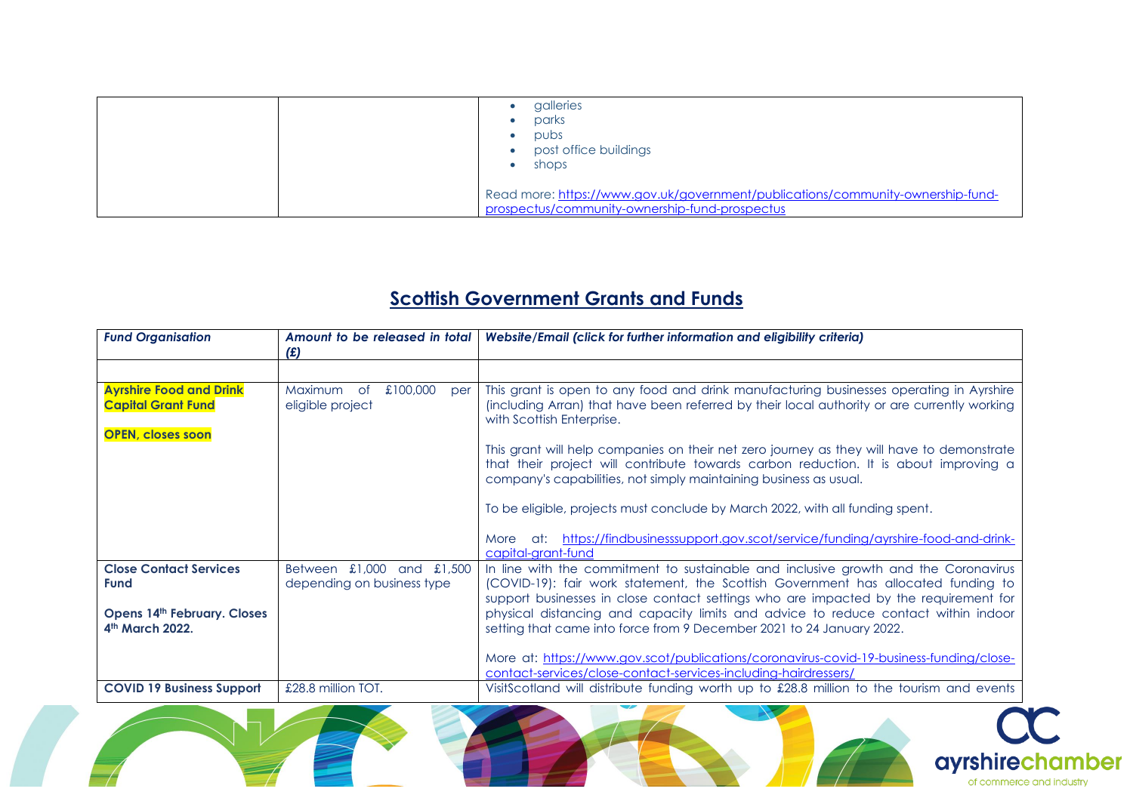| galleries<br>parks<br>pubs<br>post office buildings<br>shops                                                                      |
|-----------------------------------------------------------------------------------------------------------------------------------|
| Read more: https://www.gov.uk/government/publications/community-ownership-fund-<br>prospectus/community-ownership-fund-prospectus |

## **Scottish Government Grants and Funds**

| <b>Fund Organisation</b>                                                                | Amount to be released in total<br>(E)                   | Website/Email (click for further information and eligibility criteria)                                                                                                                                                                                                                                           |
|-----------------------------------------------------------------------------------------|---------------------------------------------------------|------------------------------------------------------------------------------------------------------------------------------------------------------------------------------------------------------------------------------------------------------------------------------------------------------------------|
|                                                                                         |                                                         |                                                                                                                                                                                                                                                                                                                  |
| <b>Ayrshire Food and Drink</b><br><b>Capital Grant Fund</b><br><b>OPEN, closes soon</b> | Maximum of<br>£100,000<br>per<br>eligible project       | This grant is open to any food and drink manufacturing businesses operating in Ayrshire<br>(including Arran) that have been referred by their local authority or are currently working<br>with Scottish Enterprise.<br>This grant will help companies on their net zero journey as they will have to demonstrate |
|                                                                                         |                                                         | that their project will contribute towards carbon reduction. It is about improving a<br>company's capabilities, not simply maintaining business as usual.                                                                                                                                                        |
|                                                                                         |                                                         | To be eligible, projects must conclude by March 2022, with all funding spent.                                                                                                                                                                                                                                    |
|                                                                                         |                                                         | More at: https://findbusinesssupport.gov.scot/service/funding/ayrshire-food-and-drink-<br>capital-arant-fund                                                                                                                                                                                                     |
| <b>Close Contact Services</b><br><b>Fund</b>                                            | Between £1,000 and £1,500<br>depending on business type | In line with the commitment to sustainable and inclusive growth and the Coronavirus<br>(COVID-19): fair work statement, the Scottish Government has allocated funding to<br>support businesses in close contact settings who are impacted by the requirement for                                                 |
| <b>Opens 14th February. Closes</b><br>4th March 2022.                                   |                                                         | physical distancing and capacity limits and advice to reduce contact within indoor<br>setting that came into force from 9 December 2021 to 24 January 2022.                                                                                                                                                      |
|                                                                                         |                                                         | More at: https://www.gov.scot/publications/coronavirus-covid-19-business-funding/close-<br>contact-services/close-contact-services-including-hairdressers/                                                                                                                                                       |
| <b>COVID 19 Business Support</b>                                                        | £28.8 million TOT.                                      | VisitScotland will distribute funding worth up to £28.8 million to the tourism and events                                                                                                                                                                                                                        |

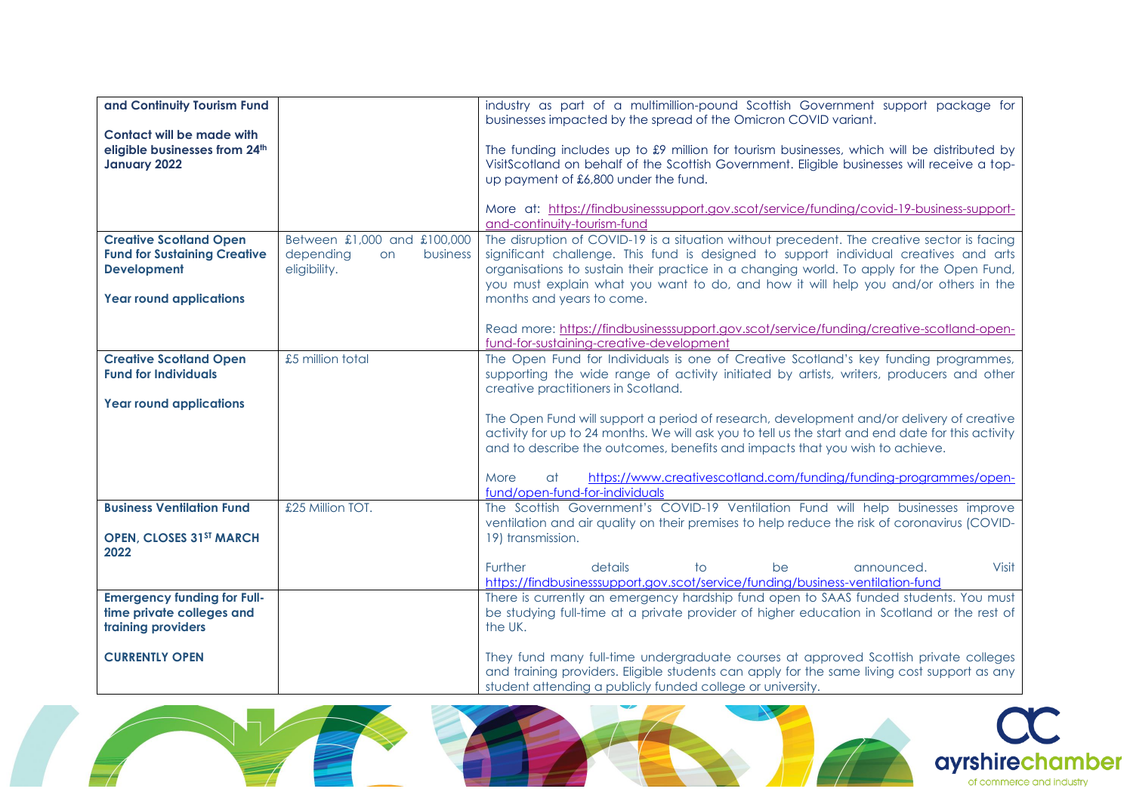| and Continuity Tourism Fund                                                                                                  |                                                                            | industry as part of a multimillion-pound Scottish Government support package for<br>businesses impacted by the spread of the Omicron COVID variant.                                                                                                                                                                                                                                                 |
|------------------------------------------------------------------------------------------------------------------------------|----------------------------------------------------------------------------|-----------------------------------------------------------------------------------------------------------------------------------------------------------------------------------------------------------------------------------------------------------------------------------------------------------------------------------------------------------------------------------------------------|
| <b>Contact will be made with</b><br>eligible businesses from 24th<br>January 2022                                            |                                                                            | The funding includes up to $\pounds$ 9 million for tourism businesses, which will be distributed by<br>VisitScotland on behalf of the Scottish Government. Eligible businesses will receive a top-<br>up payment of £6,800 under the fund.                                                                                                                                                          |
|                                                                                                                              |                                                                            | More at: https://findbusinesssupport.gov.scot/service/funding/covid-19-business-support-<br>and-continuity-tourism-fund                                                                                                                                                                                                                                                                             |
| <b>Creative Scotland Open</b><br><b>Fund for Sustaining Creative</b><br><b>Development</b><br><b>Year round applications</b> | Between £1,000 and £100,000<br>depending<br>business<br>on<br>eligibility. | The disruption of COVID-19 is a situation without precedent. The creative sector is facing<br>significant challenge. This fund is designed to support individual creatives and arts<br>organisations to sustain their practice in a changing world. To apply for the Open Fund,<br>you must explain what you want to do, and how it will help you and/or others in the<br>months and years to come. |
|                                                                                                                              |                                                                            | Read more: https://findbusinesssupport.gov.scot/service/funding/creative-scotland-open-<br>fund-for-sustaining-creative-development                                                                                                                                                                                                                                                                 |
| <b>Creative Scotland Open</b><br><b>Fund for Individuals</b>                                                                 | £5 million total                                                           | The Open Fund for Individuals is one of Creative Scotland's key funding programmes,<br>supporting the wide range of activity initiated by artists, writers, producers and other<br>creative practitioners in Scotland.                                                                                                                                                                              |
| <b>Year round applications</b>                                                                                               |                                                                            | The Open Fund will support a period of research, development and/or delivery of creative<br>activity for up to 24 months. We will ask you to tell us the start and end date for this activity<br>and to describe the outcomes, benefits and impacts that you wish to achieve.<br>https://www.creativescotland.com/funding/funding-programmes/open-<br>More<br>at                                    |
| <b>Business Ventilation Fund</b><br><b>OPEN, CLOSES 31ST MARCH</b>                                                           | £25 Million TOT.                                                           | fund/open-fund-for-individuals<br>The Scottish Government's COVID-19 Ventilation Fund will help businesses improve<br>ventilation and air quality on their premises to help reduce the risk of coronavirus (COVID-<br>19) transmission.                                                                                                                                                             |
| 2022                                                                                                                         |                                                                            | Further<br>Visit<br>details<br>$\overline{f}$<br>announced.<br>be<br>https://findbusinesssupport.gov.scot/service/funding/business-ventilation-fund                                                                                                                                                                                                                                                 |
| <b>Emergency funding for Full-</b><br>time private colleges and<br>training providers                                        |                                                                            | There is currently an emergency hardship fund open to SAAS funded students. You must<br>be studying full-time at a private provider of higher education in Scotland or the rest of<br>the UK.                                                                                                                                                                                                       |
| <b>CURRENTLY OPEN</b>                                                                                                        |                                                                            | They fund many full-time undergraduate courses at approved Scottish private colleges<br>and training providers. Eligible students can apply for the same living cost support as any<br>student attending a publicly funded college or university.                                                                                                                                                   |



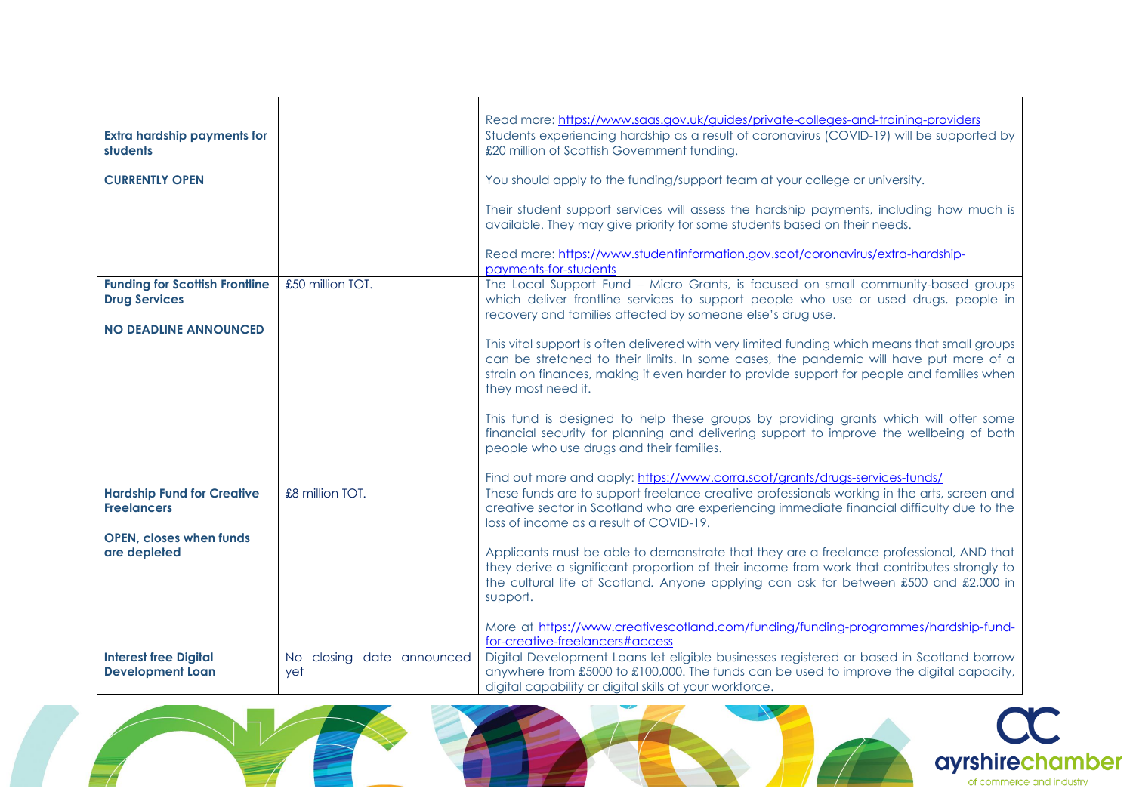|                                                               |                                  | Read more: https://www.saas.gov.uk/guides/private-colleges-and-training-providers                                                                                                                                                                                                                         |
|---------------------------------------------------------------|----------------------------------|-----------------------------------------------------------------------------------------------------------------------------------------------------------------------------------------------------------------------------------------------------------------------------------------------------------|
| <b>Extra hardship payments for</b><br>students                |                                  | Students experiencing hardship as a result of coronavirus (COVID-19) will be supported by<br>£20 million of Scottish Government funding.                                                                                                                                                                  |
| <b>CURRENTLY OPEN</b>                                         |                                  | You should apply to the funding/support team at your college or university.                                                                                                                                                                                                                               |
|                                                               |                                  | Their student support services will assess the hardship payments, including how much is<br>available. They may give priority for some students based on their needs.                                                                                                                                      |
|                                                               |                                  | Read more: https://www.studentinformation.gov.scot/coronavirus/extra-hardship-<br>payments-for-students                                                                                                                                                                                                   |
| <b>Funding for Scottish Frontline</b><br><b>Drug Services</b> | £50 million TOT.                 | The Local Support Fund - Micro Grants, is focused on small community-based groups<br>which deliver frontline services to support people who use or used drugs, people in<br>recovery and families affected by someone else's drug use.                                                                    |
| <b>NO DEADLINE ANNOUNCED</b>                                  |                                  | This vital support is often delivered with very limited funding which means that small groups<br>can be stretched to their limits. In some cases, the pandemic will have put more of a<br>strain on finances, making it even harder to provide support for people and families when<br>they most need it. |
|                                                               |                                  | This fund is designed to help these groups by providing grants which will offer some<br>financial security for planning and delivering support to improve the wellbeing of both<br>people who use drugs and their families.                                                                               |
|                                                               |                                  | Find out more and apply: https://www.corra.scot/grants/drugs-services-funds/                                                                                                                                                                                                                              |
| <b>Hardship Fund for Creative</b><br><b>Freelancers</b>       | £8 million TOT.                  | These funds are to support freelance creative professionals working in the arts, screen and<br>creative sector in Scotland who are experiencing immediate financial difficulty due to the<br>loss of income as a result of COVID-19.                                                                      |
| <b>OPEN, closes when funds</b><br>are depleted                |                                  | Applicants must be able to demonstrate that they are a freelance professional, AND that<br>they derive a significant proportion of their income from work that contributes strongly to<br>the cultural life of Scotland. Anyone applying can ask for between £500 and £2,000 in<br>support.               |
|                                                               |                                  | More at https://www.creativescotland.com/funding/funding-programmes/hardship-fund-<br>for-creative-freelancers#access                                                                                                                                                                                     |
| <b>Interest free Digital</b><br><b>Development Loan</b>       | No closing date announced<br>yet | Digital Development Loans let eligible businesses registered or based in Scotland borrow<br>anywhere from £5000 to £100,000. The funds can be used to improve the digital capacity,<br>digital capability or digital skills of your workforce.                                                            |





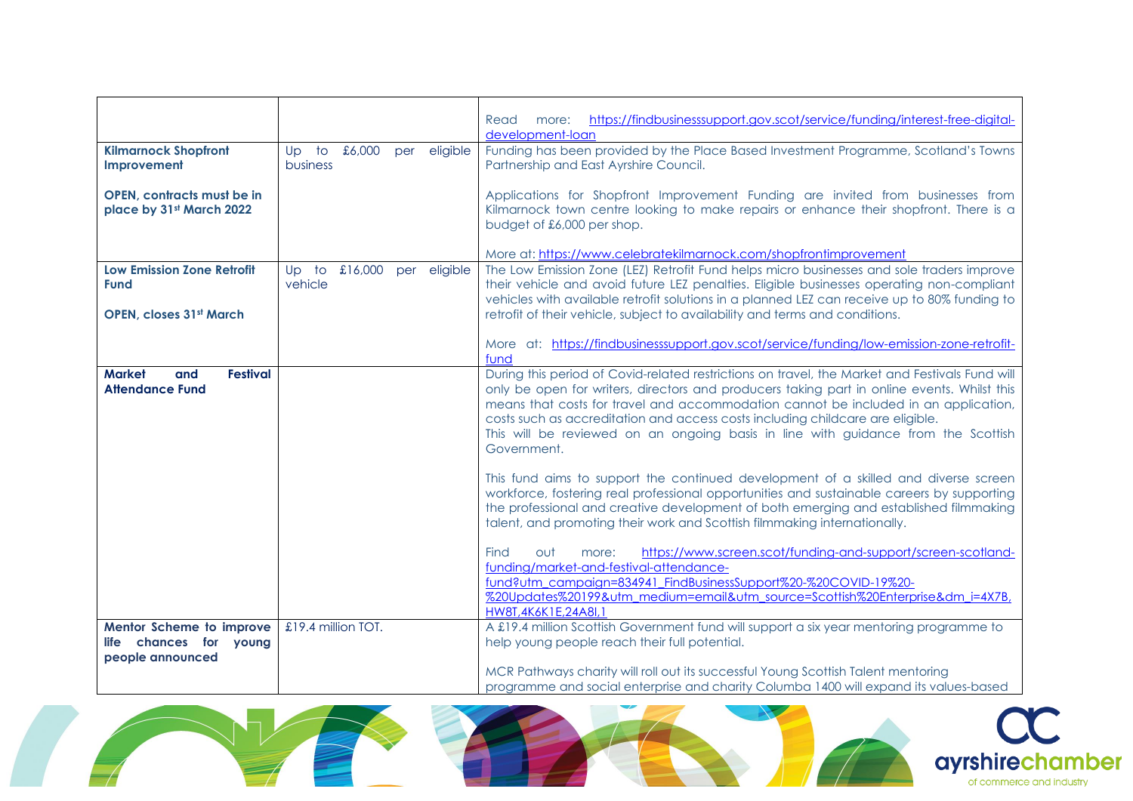|                                         |                            |                 | https://findbusinesssupport.gov.scot/service/funding/interest-free-digital-<br>Read<br>more:                                    |
|-----------------------------------------|----------------------------|-----------------|---------------------------------------------------------------------------------------------------------------------------------|
|                                         |                            |                 | development-loan                                                                                                                |
| <b>Kilmarnock Shopfront</b>             | Up to £6,000               | eligible<br>per | Funding has been provided by the Place Based Investment Programme, Scotland's Towns                                             |
| Improvement                             | business                   |                 | Partnership and East Ayrshire Council.                                                                                          |
|                                         |                            |                 |                                                                                                                                 |
| <b>OPEN, contracts must be in</b>       |                            |                 | Applications for Shopfront Improvement Funding are invited from businesses from                                                 |
| place by 31st March 2022                |                            |                 | Kilmarnock town centre looking to make repairs or enhance their shopfront. There is a                                           |
|                                         |                            |                 | budget of £6,000 per shop.                                                                                                      |
|                                         |                            |                 |                                                                                                                                 |
|                                         |                            |                 | More at: https://www.celebratekilmarnock.com/shopfrontimprovement                                                               |
| <b>Low Emission Zone Retrofit</b>       | Up to £16,000 per eligible |                 | The Low Emission Zone (LEZ) Retrofit Fund helps micro businesses and sole traders improve                                       |
| <b>Fund</b>                             | vehicle                    |                 | their vehicle and avoid future LEZ penalties. Eligible businesses operating non-compliant                                       |
|                                         |                            |                 | vehicles with available retrofit solutions in a planned LEZ can receive up to 80% funding to                                    |
| <b>OPEN, closes 31st March</b>          |                            |                 | retrofit of their vehicle, subject to availability and terms and conditions.                                                    |
|                                         |                            |                 |                                                                                                                                 |
|                                         |                            |                 | More at: https://findbusinesssupport.gov.scot/service/funding/low-emission-zone-retrofit-                                       |
|                                         |                            |                 | fund                                                                                                                            |
| <b>Festival</b><br><b>Market</b><br>and |                            |                 | During this period of Covid-related restrictions on travel, the Market and Festivals Fund will                                  |
| <b>Attendance Fund</b>                  |                            |                 | only be open for writers, directors and producers taking part in online events. Whilst this                                     |
|                                         |                            |                 | means that costs for travel and accommodation cannot be included in an application,                                             |
|                                         |                            |                 | costs such as accreditation and access costs including childcare are eligible.                                                  |
|                                         |                            |                 | This will be reviewed on an ongoing basis in line with guidance from the Scottish                                               |
|                                         |                            |                 | Government.                                                                                                                     |
|                                         |                            |                 |                                                                                                                                 |
|                                         |                            |                 | This fund aims to support the continued development of a skilled and diverse screen                                             |
|                                         |                            |                 | workforce, fostering real professional opportunities and sustainable careers by supporting                                      |
|                                         |                            |                 | the professional and creative development of both emerging and established filmmaking                                           |
|                                         |                            |                 | talent, and promoting their work and Scottish filmmaking internationally.                                                       |
|                                         |                            |                 |                                                                                                                                 |
|                                         |                            |                 | https://www.screen.scot/funding-and-support/screen-scotland-<br>Find<br>out<br>more:<br>funding/market-and-festival-attendance- |
|                                         |                            |                 | fund?utm_campaign=834941_FindBusinessSupport%20-%20COVID-19%20-                                                                 |
|                                         |                            |                 | %20Updates%20199&utm_medium=email&utm_source=Scottish%20Enterprise&dm_i=4X7B,                                                   |
|                                         |                            |                 | HW8T,4K6K1E,24A8I,1                                                                                                             |
| Mentor Scheme to improve                | £19.4 million TOT.         |                 | A £19.4 million Scottish Government fund will support a six year mentoring programme to                                         |
| chances for young<br><b>life</b>        |                            |                 | help young people reach their full potential.                                                                                   |
| people announced                        |                            |                 |                                                                                                                                 |
|                                         |                            |                 | MCR Pathways charity will roll out its successful Young Scottish Talent mentoring                                               |
|                                         |                            |                 | programme and social enterprise and charity Columba 1400 will expand its values-based                                           |
|                                         |                            |                 |                                                                                                                                 |

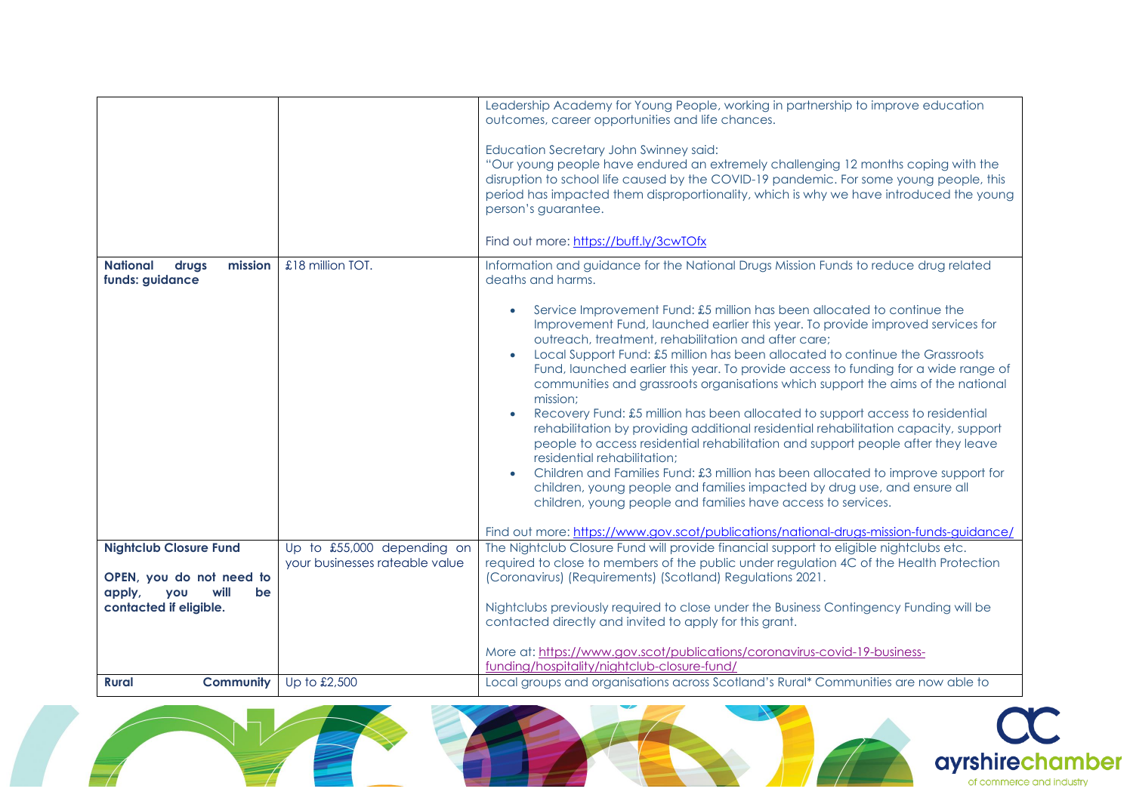| mission<br><b>National</b><br>drugs<br>funds: guidance       | £18 million TOT.                                             | Leadership Academy for Young People, working in partnership to improve education<br>outcomes, career opportunities and life chances.<br>Education Secretary John Swinney said:<br>"Our young people have endured an extremely challenging 12 months coping with the<br>disruption to school life caused by the COVID-19 pandemic. For some young people, this<br>period has impacted them disproportionality, which is why we have introduced the young<br>person's guarantee.<br>Find out more: https://buff.ly/3cwTOfx<br>Information and guidance for the National Drugs Mission Funds to reduce drug related<br>deaths and harms.<br>Service Improvement Fund: £5 million has been allocated to continue the<br>Improvement Fund, launched earlier this year. To provide improved services for<br>outreach, treatment, rehabilitation and after care;<br>Local Support Fund: £5 million has been allocated to continue the Grassroots<br>Fund, launched earlier this year. To provide access to funding for a wide range of<br>communities and grassroots organisations which support the aims of the national<br>mission;<br>Recovery Fund: £5 million has been allocated to support access to residential<br>rehabilitation by providing additional residential rehabilitation capacity, support<br>people to access residential rehabilitation and support people after they leave<br>residential rehabilitation;<br>Children and Families Fund: £3 million has been allocated to improve support for<br>children, young people and families impacted by drug use, and ensure all<br>children, young people and families have access to services.<br>Find out more: https://www.gov.scot/publications/national-drugs-mission-funds-quidance/ |
|--------------------------------------------------------------|--------------------------------------------------------------|-----------------------------------------------------------------------------------------------------------------------------------------------------------------------------------------------------------------------------------------------------------------------------------------------------------------------------------------------------------------------------------------------------------------------------------------------------------------------------------------------------------------------------------------------------------------------------------------------------------------------------------------------------------------------------------------------------------------------------------------------------------------------------------------------------------------------------------------------------------------------------------------------------------------------------------------------------------------------------------------------------------------------------------------------------------------------------------------------------------------------------------------------------------------------------------------------------------------------------------------------------------------------------------------------------------------------------------------------------------------------------------------------------------------------------------------------------------------------------------------------------------------------------------------------------------------------------------------------------------------------------------------------------------------------------------------------------------------------------------------------------|
| <b>Nightclub Closure Fund</b>                                | Up to £55,000 depending on<br>your businesses rateable value | The Nightclub Closure Fund will provide financial support to eligible nightclubs etc.<br>required to close to members of the public under regulation 4C of the Health Protection                                                                                                                                                                                                                                                                                                                                                                                                                                                                                                                                                                                                                                                                                                                                                                                                                                                                                                                                                                                                                                                                                                                                                                                                                                                                                                                                                                                                                                                                                                                                                                    |
| OPEN, you do not need to                                     |                                                              | (Coronavirus) (Requirements) (Scotland) Regulations 2021.                                                                                                                                                                                                                                                                                                                                                                                                                                                                                                                                                                                                                                                                                                                                                                                                                                                                                                                                                                                                                                                                                                                                                                                                                                                                                                                                                                                                                                                                                                                                                                                                                                                                                           |
| apply,<br>you<br>will<br><b>be</b><br>contacted if eligible. |                                                              | Nightclubs previously required to close under the Business Contingency Funding will be                                                                                                                                                                                                                                                                                                                                                                                                                                                                                                                                                                                                                                                                                                                                                                                                                                                                                                                                                                                                                                                                                                                                                                                                                                                                                                                                                                                                                                                                                                                                                                                                                                                              |
|                                                              |                                                              | contacted directly and invited to apply for this grant.                                                                                                                                                                                                                                                                                                                                                                                                                                                                                                                                                                                                                                                                                                                                                                                                                                                                                                                                                                                                                                                                                                                                                                                                                                                                                                                                                                                                                                                                                                                                                                                                                                                                                             |
|                                                              |                                                              | More at: https://www.gov.scot/publications/coronavirus-covid-19-business-                                                                                                                                                                                                                                                                                                                                                                                                                                                                                                                                                                                                                                                                                                                                                                                                                                                                                                                                                                                                                                                                                                                                                                                                                                                                                                                                                                                                                                                                                                                                                                                                                                                                           |
|                                                              |                                                              | funding/hospitality/nightclub-closure-fund/                                                                                                                                                                                                                                                                                                                                                                                                                                                                                                                                                                                                                                                                                                                                                                                                                                                                                                                                                                                                                                                                                                                                                                                                                                                                                                                                                                                                                                                                                                                                                                                                                                                                                                         |
| <b>Community</b><br><b>Rural</b>                             | Up to £2,500                                                 | Local groups and organisations across Scotland's Rural* Communities are now able to                                                                                                                                                                                                                                                                                                                                                                                                                                                                                                                                                                                                                                                                                                                                                                                                                                                                                                                                                                                                                                                                                                                                                                                                                                                                                                                                                                                                                                                                                                                                                                                                                                                                 |

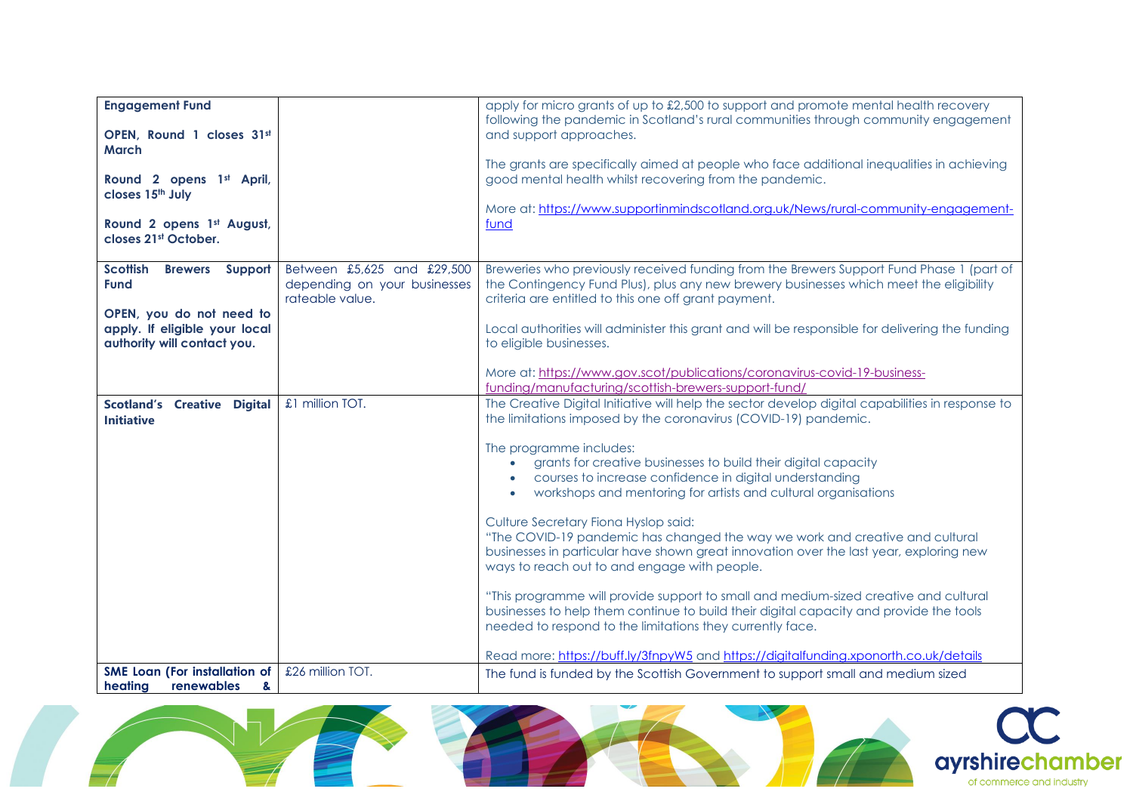| <b>Engagement Fund</b>                                                                   |                                                                               | apply for micro grants of up to £2,500 to support and promote mental health recovery<br>following the pandemic in Scotland's rural communities through community engagement                                                                                    |
|------------------------------------------------------------------------------------------|-------------------------------------------------------------------------------|----------------------------------------------------------------------------------------------------------------------------------------------------------------------------------------------------------------------------------------------------------------|
| OPEN, Round 1 closes 31st<br><b>March</b>                                                |                                                                               | and support approaches.                                                                                                                                                                                                                                        |
| Round 2 opens 1st April,<br>closes 15 <sup>th</sup> July                                 |                                                                               | The grants are specifically aimed at people who face additional inequalities in achieving<br>good mental health whilst recovering from the pandemic.                                                                                                           |
| Round 2 opens 1st August,<br>closes 21st October.                                        |                                                                               | More at: https://www.supportinmindscotland.org.uk/News/rural-community-engagement-<br>fund                                                                                                                                                                     |
| Scottish<br><b>Brewers</b> Support<br><b>Fund</b>                                        | Between £5,625 and £29,500<br>depending on your businesses<br>rateable value. | Breweries who previously received funding from the Brewers Support Fund Phase 1 (part of<br>the Contingency Fund Plus), plus any new brewery businesses which meet the eligibility<br>criteria are entitled to this one off grant payment.                     |
| OPEN, you do not need to<br>apply. If eligible your local<br>authority will contact you. |                                                                               | Local authorities will administer this grant and will be responsible for delivering the funding<br>to eligible businesses.                                                                                                                                     |
|                                                                                          |                                                                               | More at: https://www.gov.scot/publications/coronavirus-covid-19-business-<br>funding/manufacturing/scottish-brewers-support-fund/                                                                                                                              |
| <b>Scotland's Creative Digital</b><br><b>Initiative</b>                                  | £1 million TOT.                                                               | The Creative Digital Initiative will help the sector develop digital capabilities in response to<br>the limitations imposed by the coronavirus (COVID-19) pandemic.                                                                                            |
|                                                                                          |                                                                               | The programme includes:<br>grants for creative businesses to build their digital capacity<br>courses to increase confidence in digital understanding<br>workshops and mentoring for artists and cultural organisations<br>$\bullet$                            |
|                                                                                          |                                                                               | Culture Secretary Fiona Hyslop said:<br>"The COVID-19 pandemic has changed the way we work and creative and cultural<br>businesses in particular have shown great innovation over the last year, exploring new<br>ways to reach out to and engage with people. |
|                                                                                          |                                                                               | "This programme will provide support to small and medium-sized creative and cultural<br>businesses to help them continue to build their digital capacity and provide the tools<br>needed to respond to the limitations they currently face.                    |
|                                                                                          |                                                                               | Read more: https://buff.ly/3fnpyW5 and https://digitalfunding.xponorth.co.uk/details                                                                                                                                                                           |
| <b>SME Loan (For installation of</b><br>heating<br>renewables<br>&                       | £26 million TOT.                                                              | The fund is funded by the Scottish Government to support small and medium sized                                                                                                                                                                                |